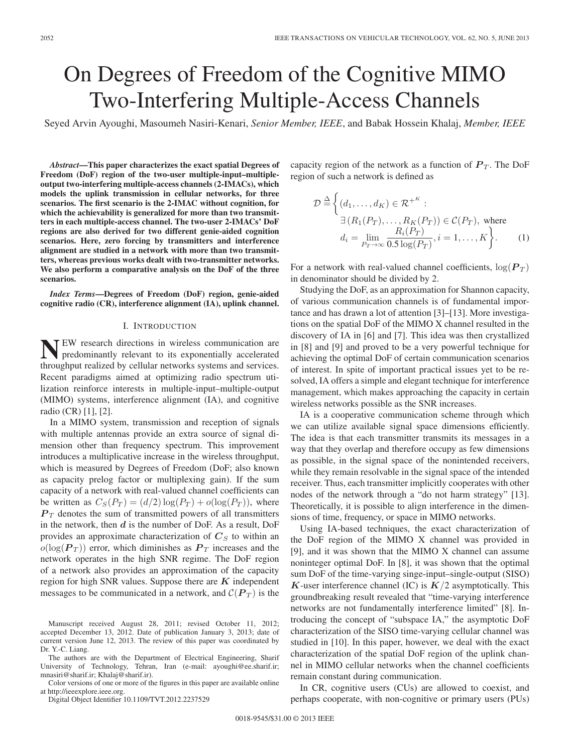# On Degrees of Freedom of the Cognitive MIMO Two-Interfering Multiple-Access Channels

Seyed Arvin Ayoughi, Masoumeh Nasiri-Kenari, *Senior Member, IEEE*, and Babak Hossein Khalaj, *Member, IEEE*

*Abstract***—This paper characterizes the exact spatial Degrees of Freedom (DoF) region of the two-user multiple-input–multipleoutput two-interfering multiple-access channels (2-IMACs), which models the uplink transmission in cellular networks, for three scenarios. The first scenario is the 2-IMAC without cognition, for which the achievability is generalized for more than two transmitters in each multiple-access channel. The two-user 2-IMACs' DoF regions are also derived for two different genie-aided cognition scenarios. Here, zero forcing by transmitters and interference alignment are studied in a network with more than two transmitters, whereas previous works dealt with two-transmitter networks. We also perform a comparative analysis on the DoF of the three scenarios.**

*Index Terms***—Degrees of Freedom (DoF) region, genie-aided cognitive radio (CR), interference alignment (IA), uplink channel.**

## I. INTRODUCTION

**NEW** research directions in wireless communication are predominantly relevant to its exponentially accelerated throughput realized by cellular networks systems and services. Recent paradigms aimed at optimizing radio spectrum utilization reinforce interests in multiple-input–multiple-output (MIMO) systems, interference alignment (IA), and cognitive radio (CR) [1], [2].

In a MIMO system, transmission and reception of signals with multiple antennas provide an extra source of signal dimension other than frequency spectrum. This improvement introduces a multiplicative increase in the wireless throughput, which is measured by Degrees of Freedom (DoF; also known as capacity prelog factor or multiplexing gain). If the sum capacity of a network with real-valued channel coefficients can be written as  $C_S(P_T) = (d/2) \log(P_T) + o(\log(P_T))$ , where  $P_T$  denotes the sum of transmitted powers of all transmitters in the network, then *d* is the number of DoF. As a result, DoF provides an approximate characterization of  $C<sub>S</sub>$  to within an  $o(log(P_T))$  error, which diminishes as  $P_T$  increases and the network operates in the high SNR regime. The DoF region of a network also provides an approximation of the capacity region for high SNR values. Suppose there are *K* independent messages to be communicated in a network, and  $\mathcal{C}(P_T)$  is the

Manuscript received August 28, 2011; revised October 11, 2012; accepted December 13, 2012. Date of publication January 3, 2013; date of current version June 12, 2013. The review of this paper was coordinated by Dr. Y.-C. Liang.

The authors are with the Department of Electrical Engineering, Sharif University of Technology, Tehran, Iran (e-mail: ayoughi@ee.sharif.ir; mnasiri@sharif.ir; Khalaj@sharif.ir).

Color versions of one or more of the figures in this paper are available online at http://ieeexplore.ieee.org.

Digital Object Identifier 10.1109/TVT.2012.2237529

capacity region of the network as a function of  $P_T$ . The DoF region of such a network is defined as

$$
\mathcal{D} \stackrel{\Delta}{=} \left\{ (d_1, \dots, d_K) \in \mathcal{R}^{+K} : \right. \n\exists (R_1(P_T), \dots, R_K(P_T)) \in \mathcal{C}(P_T), \text{ where} \n d_i = \lim_{P_T \to \infty} \frac{R_i(P_T)}{0.5 \log(P_T)}, i = 1, \dots, K \right\}.
$$
\n(1)

For a network with real-valued channel coefficients,  $log(P_T)$ in denominator should be divided by 2.

Studying the DoF, as an approximation for Shannon capacity, of various communication channels is of fundamental importance and has drawn a lot of attention [3]–[13]. More investigations on the spatial DoF of the MIMO X channel resulted in the discovery of IA in [6] and [7]. This idea was then crystallized in [8] and [9] and proved to be a very powerful technique for achieving the optimal DoF of certain communication scenarios of interest. In spite of important practical issues yet to be resolved, IA offers a simple and elegant technique for interference management, which makes approaching the capacity in certain wireless networks possible as the SNR increases.

IA is a cooperative communication scheme through which we can utilize available signal space dimensions efficiently. The idea is that each transmitter transmits its messages in a way that they overlap and therefore occupy as few dimensions as possible, in the signal space of the nonintended receivers, while they remain resolvable in the signal space of the intended receiver. Thus, each transmitter implicitly cooperates with other nodes of the network through a "do not harm strategy" [13]. Theoretically, it is possible to align interference in the dimensions of time, frequency, or space in MIMO networks.

Using IA-based techniques, the exact characterization of the DoF region of the MIMO X channel was provided in [9], and it was shown that the MIMO X channel can assume noninteger optimal DoF. In [8], it was shown that the optimal sum DoF of the time-varying singe-input–single-output (SISO) *K*-user interference channel (IC) is  $K/2$  asymptotically. This groundbreaking result revealed that "time-varying interference networks are not fundamentally interference limited" [8]. Introducing the concept of "subspace IA," the asymptotic DoF characterization of the SISO time-varying cellular channel was studied in [10]. In this paper, however, we deal with the exact characterization of the spatial DoF region of the uplink channel in MIMO cellular networks when the channel coefficients remain constant during communication.

In CR, cognitive users (CUs) are allowed to coexist, and perhaps cooperate, with non-cognitive or primary users (PUs)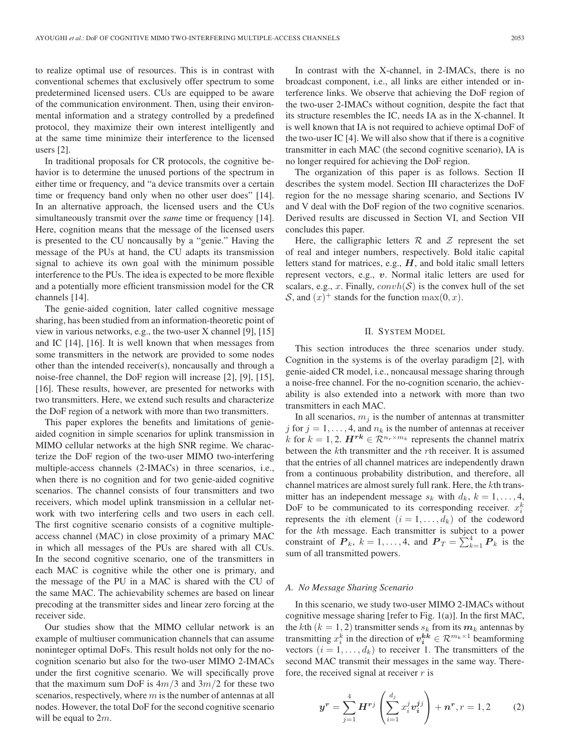to realize optimal use of resources. This is in contrast with conventional schemes that exclusively offer spectrum to some predetermined licensed users. CUs are equipped to be aware of the communication environment. Then, using their environmental information and a strategy controlled by a predefined protocol, they maximize their own interest intelligently and at the same time minimize their interference to the licensed users [2].

In traditional proposals for CR protocols, the cognitive behavior is to determine the unused portions of the spectrum in either time or frequency, and "a device transmits over a certain time or frequency band only when no other user does" [14]. In an alternative approach, the licensed users and the CUs simultaneously transmit over the *same* time or frequency [14]. Here, cognition means that the message of the licensed users is presented to the CU noncausally by a "genie." Having the message of the PUs at hand, the CU adapts its transmission signal to achieve its own goal with the minimum possible interference to the PUs. The idea is expected to be more flexible and a potentially more efficient transmission model for the CR channels [14].

The genie-aided cognition, later called cognitive message sharing, has been studied from an information-theoretic point of view in various networks, e.g., the two-user X channel [9], [15] and IC [14], [16]. It is well known that when messages from some transmitters in the network are provided to some nodes other than the intended receiver(s), noncausally and through a noise-free channel, the DoF region will increase [2], [9], [15], [16]. These results, however, are presented for networks with two transmitters. Here, we extend such results and characterize the DoF region of a network with more than two transmitters.

This paper explores the benefits and limitations of genieaided cognition in simple scenarios for uplink transmission in MIMO cellular networks at the high SNR regime. We characterize the DoF region of the two-user MIMO two-interfering multiple-access channels (2-IMACs) in three scenarios, i.e., when there is no cognition and for two genie-aided cognitive scenarios. The channel consists of four transmitters and two receivers, which model uplink transmission in a cellular network with two interfering cells and two users in each cell. The first cognitive scenario consists of a cognitive multipleaccess channel (MAC) in close proximity of a primary MAC in which all messages of the PUs are shared with all CUs. In the second cognitive scenario, one of the transmitters in each MAC is cognitive while the other one is primary, and the message of the PU in a MAC is shared with the CU of the same MAC. The achievability schemes are based on linear precoding at the transmitter sides and linear zero forcing at the receiver side.

Our studies show that the MIMO cellular network is an example of multiuser communication channels that can assume noninteger optimal DoFs. This result holds not only for the nocognition scenario but also for the two-user MIMO 2-IMACs under the first cognitive scenario. We will specifically prove that the maximum sum DoF is  $4m/3$  and  $3m/2$  for these two scenarios, respectively, where  $m$  is the number of antennas at all nodes. However, the total DoF for the second cognitive scenario will be equal to  $2m$ .

In contrast with the X-channel, in 2-IMACs, there is no broadcast component, i.e., all links are either intended or interference links. We observe that achieving the DoF region of the two-user 2-IMACs without cognition, despite the fact that its structure resembles the IC, needs IA as in the X-channel. It is well known that IA is not required to achieve optimal DoF of the two-user IC [4]. We will also show that if there is a cognitive transmitter in each MAC (the second cognitive scenario), IA is no longer required for achieving the DoF region.

The organization of this paper is as follows. Section II describes the system model. Section III characterizes the DoF region for the no message sharing scenario, and Sections IV and V deal with the DoF region of the two cognitive scenarios. Derived results are discussed in Section VI, and Section VII concludes this paper.

Here, the calligraphic letters  $\mathcal R$  and  $\mathcal Z$  represent the set of real and integer numbers, respectively. Bold italic capital letters stand for matrices, e.g.,  $H$ , and bold italic small letters represent vectors, e.g., *v*. Normal italic letters are used for scalars, e.g., x. Finally,  $convh(S)$  is the convex hull of the set S, and  $(x)^+$  stands for the function  $\max(0, x)$ .

## II. SYSTEM MODEL

This section introduces the three scenarios under study. Cognition in the systems is of the overlay paradigm [2], with genie-aided CR model, i.e., noncausal message sharing through a noise-free channel. For the no-cognition scenario, the achievability is also extended into a network with more than two transmitters in each MAC.

In all scenarios,  $m_j$  is the number of antennas at transmitter j for  $j = 1, \ldots, 4$ , and  $n_k$  is the number of antennas at receiver k for  $k = 1, 2$ .  $H^{rk} \in \mathbb{R}^{n_r \times m_k}$  represents the channel matrix between the kth transmitter and the rth receiver. It is assumed that the entries of all channel matrices are independently drawn from a continuous probability distribution, and therefore, all channel matrices are almost surely full rank. Here, the kth transmitter has an independent message  $s_k$  with  $d_k$ ,  $k = 1, \ldots, 4$ , DoF to be communicated to its corresponding receiver.  $x_i^k$ represents the *i*th element  $(i = 1, \ldots, d_k)$  of the codeword for the kth message. Each transmitter is subject to a power constraint of  $P_k$ ,  $k = 1, ..., 4$ , and  $P_T = \sum_{k=1}^{4} P_k$  is the sum of all transmitted powers.

#### *A. No Message Sharing Scenario*

In this scenario, we study two-user MIMO 2-IMACs without cognitive message sharing [refer to Fig. 1(a)]. In the first MAC, the kth  $(k = 1, 2)$  transmitter sends  $s_k$  from its  $m_k$  antennas by transmitting  $x_i^k$  in the direction of  $v_i^{kk} \in \mathcal{R}^{m_k \times 1}$  beamforming vectors  $(i = 1, \ldots, d_k)$  to receiver 1. The transmitters of the second MAC transmit their messages in the same way. Therefore, the received signal at receiver  $r$  is

$$
\mathbf{y}^r = \sum_{j=1}^4 \mathbf{H}^{rj} \left( \sum_{i=1}^{d_j} x_i^j v_i^{jj} \right) + \mathbf{n}^r, r = 1, 2 \tag{2}
$$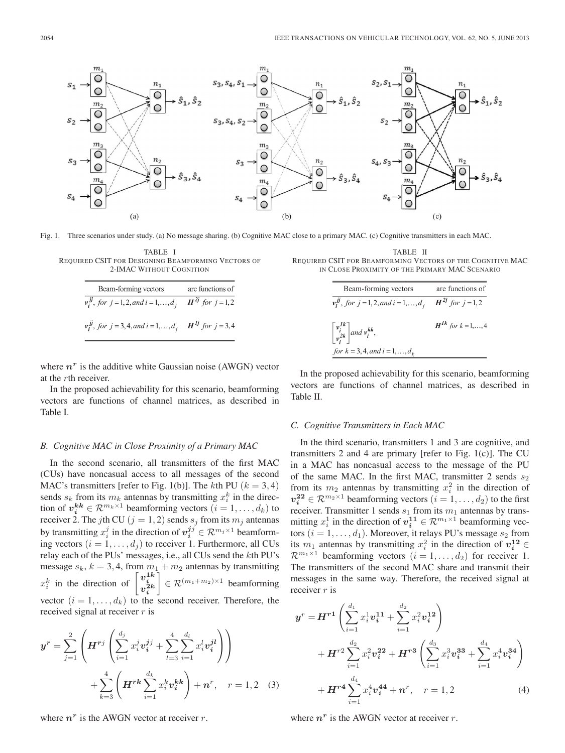

Fig. 1. Three scenarios under study. (a) No message sharing. (b) Cognitive MAC close to a primary MAC. (c) Cognitive transmitters in each MAC.

| TABLE I                                            |
|----------------------------------------------------|
| REOUIRED CSIT FOR DESIGNING BEAMFORMING VECTORS OF |
| 2-IMAC WITHOUT COGNITION                           |

| Beam-forming vectors                                                           | are functions of |
|--------------------------------------------------------------------------------|------------------|
| $v_i^{jj}$ , for $j = 1, 2, and i = 1, , d_j$ $H^{2j}$ for $j = 1, 2$          |                  |
| $v_i^{jj}$ , for $j = 3, 4,$ and $i = 1, , d_j$ H <sup>1j</sup> for $j = 3, 4$ |                  |

where  $n<sup>r</sup>$  is the additive white Gaussian noise (AWGN) vector at the rth receiver.

In the proposed achievability for this scenario, beamforming vectors are functions of channel matrices, as described in Table I.

#### *B. Cognitive MAC in Close Proximity of a Primary MAC*

In the second scenario, all transmitters of the first MAC (CUs) have noncasual access to all messages of the second MAC's transmitters [refer to Fig. 1(b)]. The kth PU ( $k = 3, 4$ ) sends  $s_k$  from its  $m_k$  antennas by transmitting  $x_i^k$  in the direction of  $v_i^{kk} \in \mathcal{R}^{m_k \times 1}$  beamforming vectors  $(i = 1, \ldots, d_k)$  to receiver 2. The jth CU ( $j = 1, 2$ ) sends  $s_j$  from its  $m_j$  antennas by transmitting  $x_i^j$  in the direction of  $v_i^{jj} \in \mathcal{R}^{m_j \times 1}$  beamforming vectors  $(i = 1, \ldots, d_j)$  to receiver 1. Furthermore, all CUs relay each of the PUs' messages, i.e., all CUs send the kth PU's message  $s_k$ ,  $k = 3, 4$ , from  $m_1 + m_2$  antennas by transmitting  $x_i^k$  in the direction of  $\begin{bmatrix} v_i^{1k} \\ v_i^{2k} \end{bmatrix}$ 1  $\in \mathcal{R}^{(m_1+m_2)\times 1}$  beamforming vector  $(i = 1, \ldots, d_k)$  to the second receiver. Therefore, the received signal at receiver  $r$  is

$$
\mathbf{y}^{r} = \sum_{j=1}^{2} \left( \mathbf{H}^{r j} \left( \sum_{i=1}^{d_{j}} x_{i}^{j} v_{i}^{j j} + \sum_{l=3}^{4} \sum_{i=1}^{d_{l}} x_{i}^{l} v_{i}^{j l} \right) \right) + \sum_{k=3}^{4} \left( \mathbf{H}^{r k} \sum_{i=1}^{d_{k}} x_{i}^{k} v_{i}^{k k} \right) + \mathbf{n}^{r}, \quad r = 1, 2 \quad (3)
$$

where  $n^r$  is the AWGN vector at receiver r.

TABLE II REQUIRED CSIT FOR BEAMFORMING VECTORS OF THE COGNITIVE MAC IN CLOSE PROXIMITY OF THE PRIMARY MAC SCENARIO

| Beam-forming vectors                                                    | are functions of          |
|-------------------------------------------------------------------------|---------------------------|
| $v_i^{jj}$ , for $j = 1, 2,$ and $i = 1, , d_j$ $H^{2j}$ for $j = 1, 2$ |                           |
| $\left \frac{v_i^{I\kappa}}{v_i^{2k}}\right $ and $v_i^{kk}$ ,          | $H^{1k}$ for $k = 1, , 4$ |
| for $k = 3, 4, and i = 1, , d_k$                                        |                           |

In the proposed achievability for this scenario, beamforming vectors are functions of channel matrices, as described in Table II.

### *C. Cognitive Transmitters in Each MAC*

In the third scenario, transmitters 1 and 3 are cognitive, and transmitters 2 and 4 are primary [refer to Fig. 1(c)]. The CU in a MAC has noncasual access to the message of the PU of the same MAC. In the first MAC, transmitter 2 sends  $s_2$ from its  $m_2$  antennas by transmitting  $x_i^2$  in the direction of  $v_i^{22} \in \mathcal{R}^{m_2 \times 1}$  beamforming vectors  $(i = 1, \ldots, d_2)$  to the first receiver. Transmitter 1 sends  $s_1$  from its  $m_1$  antennas by transmitting  $x_i^1$  in the direction of  $v_i^{11} \in \mathcal{R}^{m_1 \times 1}$  beamforming vectors  $(i = 1, \ldots, d_1)$ . Moreover, it relays PU's message  $s_2$  from its  $m_1$  antennas by transmitting  $x_i^2$  in the direction of  $v_i^{12} \in$  $\mathcal{R}^{m_1 \times 1}$  beamforming vectors  $(i = 1, \ldots, d_2)$  for receiver 1. The transmitters of the second MAC share and transmit their messages in the same way. Therefore, the received signal at receiver r is

$$
y^{r} = H^{r1}\left(\sum_{i=1}^{d_{1}} x_{i}^{1} v_{i}^{11} + \sum_{i=1}^{d_{2}} x_{i}^{2} v_{i}^{12}\right) + H^{r2}\sum_{i=1}^{d_{2}} x_{i}^{2} v_{i}^{22} + H^{r3}\left(\sum_{i=1}^{d_{3}} x_{i}^{3} v_{i}^{33} + \sum_{i=1}^{d_{4}} x_{i}^{4} v_{i}^{34}\right) + H^{r4}\sum_{i=1}^{d_{4}} x_{i}^{4} v_{i}^{44} + n^{r}, \quad r = 1, 2
$$
 (4)

where  $n^r$  is the AWGN vector at receiver r.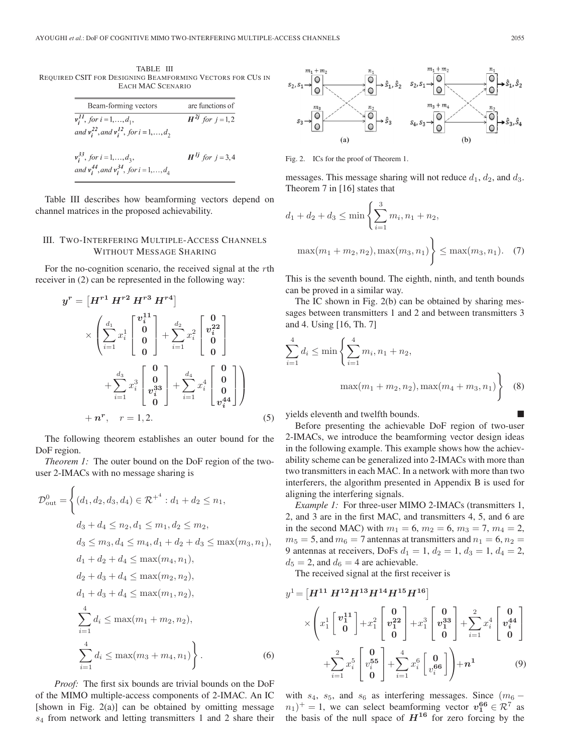TABLE III REQUIRED CSIT FOR DESIGNING BEAMFORMING VECTORS FOR CUS IN EACH MAC SCENARIO

| Beam-forming vectors                                 | are functions of        |
|------------------------------------------------------|-------------------------|
| $v_i^{II}$ , for $i = 1, , d_1$ ,                    | $H^{2j}$ for $j = 1, 2$ |
| and $v_i^{22}$ , and $v_i^{12}$ , for $i = 1, , d_2$ |                         |

$$
v_i^{35}
$$
, for  $i = 1,...,d_3$ ,  
and  $v_i^{44}$ , and  $v_i^{34}$ , for  $i = 1,...,d_4$ 

Table III describes how beamforming vectors depend on channel matrices in the proposed achievability.

## III. TWO-INTERFERING MULTIPLE-ACCESS CHANNELS WITHOUT MESSAGE SHARING

For the no-cognition scenario, the received signal at the rth receiver in (2) can be represented in the following way:

$$
y^{r} = \begin{bmatrix} H^{r1} H^{r2} H^{r3} H^{r4} \end{bmatrix}
$$

$$
\times \left( \sum_{i=1}^{d_1} x_i^1 \begin{bmatrix} v_i^{11} \\ 0 \\ 0 \\ 0 \end{bmatrix} + \sum_{i=1}^{d_2} x_i^2 \begin{bmatrix} 0 \\ v_i^{22} \\ 0 \\ 0 \end{bmatrix}
$$

$$
+ \sum_{i=1}^{d_3} x_i^3 \begin{bmatrix} 0 \\ 0 \\ v_i^{33} \\ 0 \end{bmatrix} + \sum_{i=1}^{d_4} x_i^4 \begin{bmatrix} 0 \\ 0 \\ 0 \\ v_i^{44} \end{bmatrix} \right)
$$

$$
+ n^{r}, \quad r = 1, 2. \tag{5}
$$

The following theorem establishes an outer bound for the DoF region.

*Theorem 1:* The outer bound on the DoF region of the twouser 2-IMACs with no message sharing is

$$
\mathcal{D}_{out}^{0} = \left\{ (d_1, d_2, d_3, d_4) \in \mathcal{R}^{+4} : d_1 + d_2 \le n_1, \n d_3 + d_4 \le n_2, d_1 \le m_1, d_2 \le m_2, \n d_3 \le m_3, d_4 \le m_4, d_1 + d_2 + d_3 \le \max(m_3, n_1), \n d_1 + d_2 + d_4 \le \max(m_4, n_1), \n d_2 + d_3 + d_4 \le \max(m_2, n_2), \n d_1 + d_3 + d_4 \le \max(m_1, n_2), \n \sum_{i=1}^{4} d_i \le \max(m_1 + m_2, n_2), \n \sum_{i=1}^{4} d_i \le \max(m_3 + m_4, n_1) \right\}.
$$
\n(6)

*Proof:* The first six bounds are trivial bounds on the DoF of the MIMO multiple-access components of 2-IMAC. An IC [shown in Fig. 2(a)] can be obtained by omitting message  $s_4$  from network and letting transmitters 1 and 2 share their



Fig. 2. ICs for the proof of Theorem 1.

messages. This message sharing will not reduce  $d_1$ ,  $d_2$ , and  $d_3$ . Theorem 7 in [16] states that

$$
d_1 + d_2 + d_3 \le \min\left\{\sum_{i=1}^3 m_i, n_1 + n_2, \max(m_1 + m_2, n_2), \max(m_3, n_1)\right\} \le \max(m_3, n_1). \quad (7)
$$

This is the seventh bound. The eighth, ninth, and tenth bounds can be proved in a similar way.

The IC shown in Fig. 2(b) can be obtained by sharing messages between transmitters 1 and 2 and between transmitters 3 and 4. Using [16, Th. 7]

$$
\sum_{i=1}^{4} d_i \le \min\left\{\sum_{i=1}^{4} m_i, n_1 + n_2, \max(m_4 + m_3, n_1)\right\}
$$
 (8)

yields eleventh and twelfth bounds.

Before presenting the achievable DoF region of two-user 2-IMACs, we introduce the beamforming vector design ideas in the following example. This example shows how the achievability scheme can be generalized into 2-IMACs with more than two transmitters in each MAC. In a network with more than two interferers, the algorithm presented in Appendix B is used for aligning the interfering signals.

*Example 1:* For three-user MIMO 2-IMACs (transmitters 1, 2, and 3 are in the first MAC, and transmitters 4, 5, and 6 are in the second MAC) with  $m_1 = 6$ ,  $m_2 = 6$ ,  $m_3 = 7$ ,  $m_4 = 2$ ,  $m_5 = 5$ , and  $m_6 = 7$  antennas at transmitters and  $n_1 = 6$ ,  $n_2 =$ 9 antennas at receivers, DoFs  $d_1 = 1$ ,  $d_2 = 1$ ,  $d_3 = 1$ ,  $d_4 = 2$ ,  $d_5 = 2$ , and  $d_6 = 4$  are achievable.

The received signal at the first receiver is

$$
y^{1} = \left[H^{11} H^{12} H^{13} H^{14} H^{15} H^{16}\right] \times \left(x_{1}^{1} \begin{bmatrix} v_{1}^{11} \\ 0 \end{bmatrix} + x_{1}^{2} \begin{bmatrix} 0 \\ v_{1}^{22} \\ 0 \end{bmatrix} + x_{1}^{3} \begin{bmatrix} 0 \\ v_{1}^{33} \\ 0 \end{bmatrix} + \sum_{i=1}^{2} x_{i}^{4} \begin{bmatrix} 0 \\ v_{i}^{44} \\ 0 \end{bmatrix} + \sum_{i=1}^{2} x_{i}^{5} \begin{bmatrix} 0 \\ v_{i}^{55} \\ 0 \end{bmatrix} + \sum_{i=1}^{4} x_{i}^{6} \begin{bmatrix} 0 \\ v_{i}^{66} \\ 0 \end{bmatrix}\right) + n^{1}
$$
 (9)

with  $s_4$ ,  $s_5$ , and  $s_6$  as interfering messages. Since  $(m_6 (n_1)^+ = 1$ , we can select beamforming vector  $v_1^{66} \in \mathcal{R}^7$  as the basis of the null space of  $H^{16}$  for zero forcing by the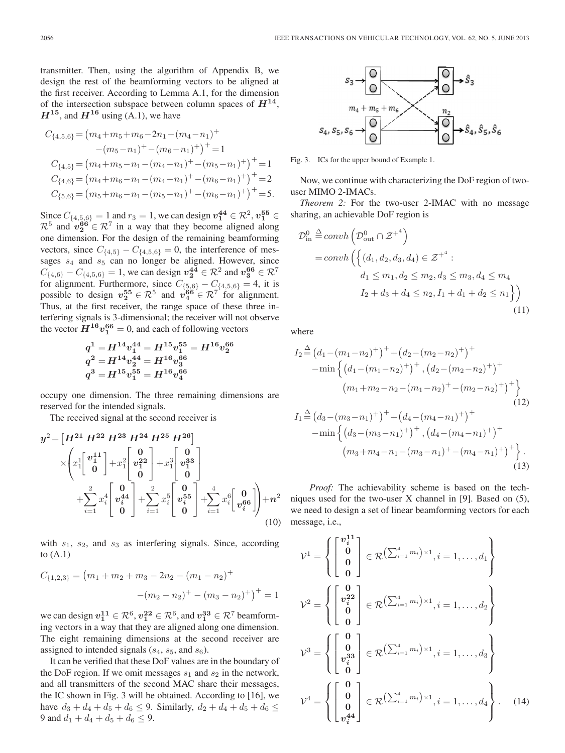transmitter. Then, using the algorithm of Appendix B, we design the rest of the beamforming vectors to be aligned at the first receiver. According to Lemma A.1, for the dimension of the intersection subspace between column spaces of  $H^{14}$ ,  $H^{15}$ , and  $H^{16}$  using (A.1), we have

$$
C_{\{4,5,6\}} = (m_4 + m_5 + m_6 - 2n_1 - (m_4 - n_1)^+ - (m_5 - n_1)^+ - (m_6 - n_1)^+ )^+ = 1 C_{\{4,5\}} = (m_4 + m_5 - n_1 - (m_4 - n_1)^+ - (m_5 - n_1)^+ )^+ = 1 C_{\{4,6\}} = (m_4 + m_6 - n_1 - (m_4 - n_1)^+ - (m_6 - n_1)^+ )^+ = 2 C_{\{5,6\}} = (m_5 + m_6 - n_1 - (m_5 - n_1)^+ - (m_6 - n_1)^+ )^+ = 5.
$$

Since  $C_{\{4,5,6\}} = 1$  and  $r_3 = 1$ , we can design  $v_1^{44} \in \mathcal{R}^2$ ,  $v_1^{55} \in$  $\mathcal{R}^5$  and  $v_2^{66} \in \mathcal{R}^7$  in a way that they become aligned along one dimension. For the design of the remaining beamforming vectors, since  $C_{\{4,5\}} - C_{\{4,5,6\}} = 0$ , the interference of messages  $s_4$  and  $s_5$  can no longer be aligned. However, since  $C_{\{4,6\}} - C_{\{4,5,6\}} = 1$ , we can design  $v_2^{44} \in \mathcal{R}^2$  and  $v_3^{66} \in \mathcal{R}^7$ for alignment. Furthermore, since  $C_{\{5,6\}} - C_{\{4,5,6\}} = 4$ , it is possible to design  $v_2^{55} \in \mathcal{R}^5$  and  $v_4^{66} \in \mathcal{R}^7$  for alignment. Thus, at the first receiver, the range space of these three interfering signals is 3-dimensional; the receiver will not observe the vector  $H^{16}v_1^{66} = 0$ , and each of following vectors

$$
\begin{aligned} q^1 = & H^{14} v_1^{44} = H^{15} v_1^{55} = H^{16} v_2^{66} \\ q^2 = & H^{14} v_2^{44} = H^{16} v_3^{66} \\ q^3 = & H^{15} v_1^{55} = H^{16} v_4^{66} \end{aligned}
$$

occupy one dimension. The three remaining dimensions are reserved for the intended signals.

The received signal at the second receiver is

$$
y^{2} = \left[H^{21} H^{22} H^{23} H^{24} H^{25} H^{26}\right] \times \left(x_{1}^{1} \left[\begin{array}{c} v_{1}^{11} \\ v_{1}^{11} \\ 0 \end{array}\right] + x_{1}^{2} \left[\begin{array}{c} 0 \\ v_{1}^{22} \\ 0 \end{array}\right] + x_{1}^{3} \left[\begin{array}{c} 0 \\ v_{1}^{33} \\ 0 \end{array}\right] + \sum_{i=1}^{2} x_{i}^{4} \left[\begin{array}{c} 0 \\ v_{i}^{44} \\ 0 \end{array}\right] + \sum_{i=1}^{2} x_{i}^{5} \left[\begin{array}{c} 0 \\ v_{i}^{55} \\ 0 \end{array}\right] + \sum_{i=1}^{4} x_{i}^{6} \left[\begin{array}{c} 0 \\ v_{i}^{66} \\ 0 \end{array}\right] + n^{2} \tag{10}
$$

with  $s_1$ ,  $s_2$ , and  $s_3$  as interfering signals. Since, according to  $(A.1)$ 

$$
C_{\{1,2,3\}} = (m_1 + m_2 + m_3 - 2n_2 - (m_1 - n_2)^+ - (m_2 - n_2)^+ - (m_3 - n_2)^+)^+ = 1
$$

we can design  $v_1^{11} \in \mathcal{R}^6$ ,  $v_1^{22} \in \mathcal{R}^6$ , and  $v_1^{33} \in \mathcal{R}^7$  beamforming vectors in a way that they are aligned along one dimension. The eight remaining dimensions at the second receiver are assigned to intended signals  $(s_4, s_5, \text{ and } s_6)$ .

It can be verified that these DoF values are in the boundary of the DoF region. If we omit messages  $s_1$  and  $s_2$  in the network, and all transmitters of the second MAC share their messages, the IC shown in Fig. 3 will be obtained. According to [16], we have  $d_3 + d_4 + d_5 + d_6 \leq 9$ . Similarly,  $d_2 + d_4 + d_5 + d_6 \leq$ 9 and  $d_1 + d_4 + d_5 + d_6 \leq 9$ .



Fig. 3. ICs for the upper bound of Example 1.

Now, we continue with characterizing the DoF region of twouser MIMO 2-IMACs.

*Theorem 2:* For the two-user 2-IMAC with no message sharing, an achievable DoF region is

$$
\mathcal{D}_{\text{in}}^{0} \stackrel{\Delta}{=} \operatorname{convh}\left(\mathcal{D}_{\text{out}}^{0} \cap \mathcal{Z}^{+4}\right)
$$
\n
$$
= \operatorname{convh}\left(\left\{(d_1, d_2, d_3, d_4) \in \mathcal{Z}^{+4} : d_1 \le m_1, d_2 \le m_2, d_3 \le m_3, d_4 \le m_4\right.\right.
$$
\n
$$
I_2 + d_3 + d_4 \le n_2, I_1 + d_1 + d_2 \le n_1\right\})\tag{11}
$$

where

$$
I_{2} \stackrel{\Delta}{=} (d_{1} - (m_{1} - n_{2})^{+})^{+} + (d_{2} - (m_{2} - n_{2})^{+})^{+}
$$
  
\n
$$
-\min \left\{ (d_{1} - (m_{1} - n_{2})^{+})^{+}, (d_{2} - (m_{2} - n_{2})^{+})^{+} \right\}
$$
  
\n
$$
(m_{1} + m_{2} - n_{2} - (m_{1} - n_{2})^{+} - (m_{2} - n_{2})^{+})^{+} \right\}
$$
  
\n
$$
I_{1} \stackrel{\Delta}{=} (d_{3} - (m_{3} - n_{1})^{+})^{+} + (d_{4} - (m_{4} - n_{1})^{+})^{+}
$$
  
\n
$$
-\min \left\{ (d_{3} - (m_{3} - n_{1})^{+})^{+}, (d_{4} - (m_{4} - n_{1})^{+})^{+} \right\}
$$
  
\n
$$
(m_{3} + m_{4} - n_{1} - (m_{3} - n_{1})^{+} - (m_{4} - n_{1})^{+})^{+} \right\}.
$$

*Proof:* The achievability scheme is based on the techniques used for the two-user X channel in [9]. Based on (5), we need to design a set of linear beamforming vectors for each message, i.e.,

(13)

$$
\mathcal{V}^1 = \left\{ \begin{bmatrix} v_i^{11} \\ 0 \\ 0 \\ 0 \end{bmatrix} \in \mathcal{R} \left( \sum_{i=1}^4 m_i \right) \times 1, i = 1, \dots, d_1 \right\}
$$

$$
\mathcal{V}^2 = \left\{ \begin{bmatrix} 0 \\ v_i^{22} \\ 0 \\ 0 \end{bmatrix} \in \mathcal{R} \left( \sum_{i=1}^4 m_i \right) \times 1, i = 1, \dots, d_2 \right\}
$$

$$
\mathcal{V}^3 = \left\{ \begin{bmatrix} 0 \\ 0 \\ v_i^{33} \\ 0 \end{bmatrix} \in \mathcal{R} \left( \sum_{i=1}^4 m_i \right) \times 1, i = 1, \dots, d_3 \right\}
$$

$$
\mathcal{V}^4 = \left\{ \begin{bmatrix} 0 \\ 0 \\ 0 \\ v_i^{44} \end{bmatrix} \in \mathcal{R} \left( \sum_{i=1}^4 m_i \right) \times 1, i = 1, \dots, d_4 \right\}. \quad (14)
$$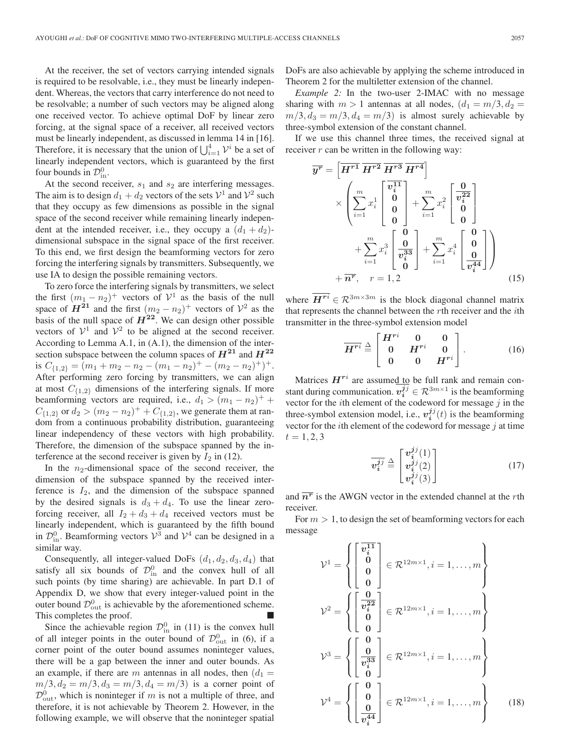At the receiver, the set of vectors carrying intended signals is required to be resolvable, i.e., they must be linearly independent. Whereas, the vectors that carry interference do not need to be resolvable; a number of such vectors may be aligned along one received vector. To achieve optimal DoF by linear zero forcing, at the signal space of a receiver, all received vectors must be linearly independent, as discussed in lemma 14 in [16]. Therefore, it is necessary that the union of  $\bigcup_{i=1}^{4} \mathcal{V}^i$  be a set of linearly independent vectors, which is guaranteed by the first four bounds in  $\mathcal{D}_{\text{in}}^0$ .

At the second receiver,  $s_1$  and  $s_2$  are interfering messages. The aim is to design  $d_1 + d_2$  vectors of the sets  $\mathcal{V}^1$  and  $\mathcal{V}^2$  such that they occupy as few dimensions as possible in the signal space of the second receiver while remaining linearly independent at the intended receiver, i.e., they occupy a  $(d_1 + d_2)$ dimensional subspace in the signal space of the first receiver. To this end, we first design the beamforming vectors for zero forcing the interfering signals by transmitters. Subsequently, we use IA to design the possible remaining vectors.

To zero force the interfering signals by transmitters, we select the first  $(m_1 - n_2)^+$  vectors of  $\mathcal{V}^1$  as the basis of the null space of  $H^{21}$  and the first  $(m_2 - n_2)^+$  vectors of  $\mathcal{V}^2$  as the basis of the null space of  $H^{22}$ . We can design other possible vectors of  $\mathcal{V}^1$  and  $\mathcal{V}^2$  to be aligned at the second receiver. According to Lemma A.1, in (A.1), the dimension of the intersection subspace between the column spaces of  $H^{21}$  and  $H^{22}$ is  $C_{\{1,2\}} = (m_1 + m_2 - n_2 - (m_1 - n_2)^+ - (m_2 - n_2)^+)^+$ . After performing zero forcing by transmitters, we can align at most  $C_{\{1,2\}}$  dimensions of the interfering signals. If more beamforming vectors are required, i.e.,  $d_1 > (m_1 - n_2)^+$  +  $C_{\{1,2\}}$  or  $d_2 > (m_2 - n_2)^+ + C_{\{1,2\}}$ , we generate them at random from a continuous probability distribution, guaranteeing linear independency of these vectors with high probability. Therefore, the dimension of the subspace spanned by the interference at the second receiver is given by  $I_2$  in (12).

In the  $n_2$ -dimensional space of the second receiver, the dimension of the subspace spanned by the received interference is  $I_2$ , and the dimension of the subspace spanned by the desired signals is  $d_3 + d_4$ . To use the linear zeroforcing receiver, all  $I_2 + d_3 + d_4$  received vectors must be linearly independent, which is guaranteed by the fifth bound in  $\mathcal{D}_{\text{in}}^0$ . Beamforming vectors  $\mathcal{V}^3$  and  $\mathcal{V}^4$  can be designed in a similar way.

Consequently, all integer-valued DoFs  $(d_1, d_2, d_3, d_4)$  that satisfy all six bounds of  $\mathcal{D}_{\text{in}}^0$  and the convex hull of all such points (by time sharing) are achievable. In part D.1 of Appendix D, we show that every integer-valued point in the outer bound  $\mathcal{D}_{\text{out}}^0$  is achievable by the aforementioned scheme. This completes the proof.

Since the achievable region  $\mathcal{D}_{\text{in}}^0$  in (11) is the convex hull of all integer points in the outer bound of  $\mathcal{D}^0_{\text{out}}$  in (6), if a corner point of the outer bound assumes noninteger values, there will be a gap between the inner and outer bounds. As an example, if there are m antennas in all nodes, then  $(d_1 =$  $m/3, d_2 = m/3, d_3 = m/3, d_4 = m/3$  is a corner point of  $\mathcal{D}_{\text{out}}^0$ , which is noninteger if m is not a multiple of three, and therefore, it is not achievable by Theorem 2. However, in the following example, we will observe that the noninteger spatial

DoFs are also achievable by applying the scheme introduced in Theorem 2 for the multiletter extension of the channel.

*Example 2:* In the two-user 2-IMAC with no message sharing with  $m > 1$  antennas at all nodes,  $(d_1 = m/3, d_2 =$  $m/3$ ,  $d_3 = m/3$ ,  $d_4 = m/3$ ) is almost surely achievable by three-symbol extension of the constant channel.

If we use this channel three times, the received signal at receiver  $r$  can be written in the following way:

$$
\overline{y^{r}} = \left[\overline{H^{r1}} \ \overline{H^{r2}} \ \overline{H^{r3}} \ \overline{H^{r4}}\right] \times \left(\sum_{i=1}^{m} x_{i}^{1} \begin{bmatrix} v_{i}^{11} \\ 0 \\ 0 \\ 0 \end{bmatrix} + \sum_{i=1}^{m} x_{i}^{2} \begin{bmatrix} 0 \\ v_{i}^{22} \\ 0 \\ 0 \end{bmatrix} + \sum_{i=1}^{m} x_{i}^{3} \begin{bmatrix} 0 \\ 0 \\ v_{i}^{33} \\ 0 \end{bmatrix} + \sum_{i=1}^{m} x_{i}^{4} \begin{bmatrix} 0 \\ 0 \\ 0 \\ v_{i}^{44} \end{bmatrix}\right) + \overline{n^{r}}, \quad r = 1, 2 \qquad (15)
$$

where  $\overline{H^{ri}} \in \mathbb{R}^{3m \times 3m}$  is the block diagonal channel matrix that represents the channel between the rth receiver and the ith transmitter in the three-symbol extension model

$$
\overline{H^{ri}} \stackrel{\Delta}{=} \begin{bmatrix} H^{ri} & 0 & 0 \\ 0 & H^{ri} & 0 \\ 0 & 0 & H^{ri} \end{bmatrix} . \tag{16}
$$

Matrices  $H^{ri}$  are assumed to be full rank and remain constant during communication.  $v_i^{jj} \in \mathcal{R}^{3m \times 1}$  is the beamforming vector for the  $i$ th element of the codeword for message  $j$  in the three-symbol extension model, i.e.,  $v_i^{jj}(t)$  is the beamforming vector for the *i*th element of the codeword for message  $j$  at time  $t = 1, 2, 3$ 

$$
\overline{v_i^{jj}} \stackrel{\Delta}{=} \begin{bmatrix} v_i^{jj}(1) \\ v_i^{jj}(2) \\ v_i^{jj}(3) \end{bmatrix} \tag{17}
$$

and  $\overline{n^r}$  is the AWGN vector in the extended channel at the *r*th receiver.

For  $m > 1$ , to design the set of beamforming vectors for each message

$$
\mathcal{V}^{1} = \begin{cases} \begin{bmatrix} \overline{v_{i}^{11}} \\ 0 \\ 0 \end{bmatrix} \in \mathcal{R}^{12m \times 1}, i = 1, \dots, m \end{cases}
$$

$$
\mathcal{V}^{2} = \begin{cases} \begin{bmatrix} \frac{0}{v_{i}^{22}} \\ 0 \end{bmatrix} \in \mathcal{R}^{12m \times 1}, i = 1, \dots, m \end{cases}
$$

$$
\mathcal{V}^{3} = \begin{cases} \begin{bmatrix} 0 \\ \frac{0}{v_{i}^{33}} \end{bmatrix} \in \mathcal{R}^{12m \times 1}, i = 1, \dots, m \end{cases}
$$

$$
\mathcal{V}^{4} = \begin{cases} \begin{bmatrix} 0 \\ 0 \\ \frac{0}{v_{i}^{44}} \end{bmatrix} \in \mathcal{R}^{12m \times 1}, i = 1, \dots, m \end{cases}
$$
(18)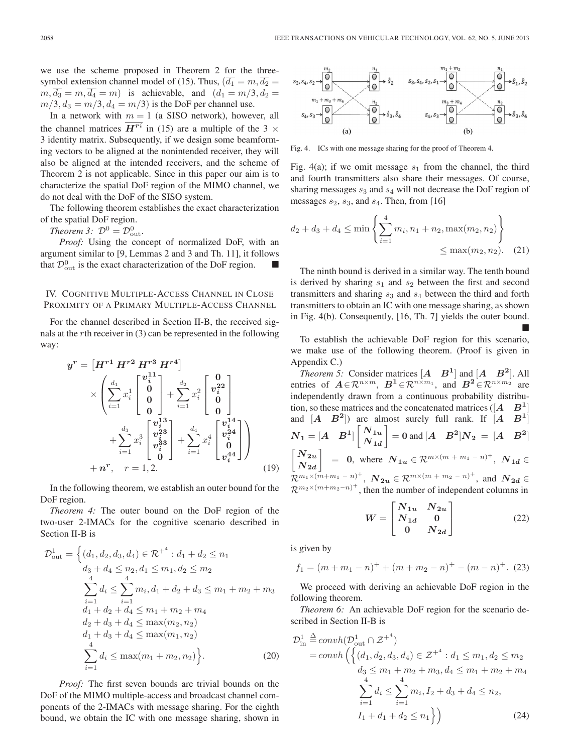we use the scheme proposed in Theorem 2 for the threesymbol extension channel model of (15). Thus,  $(d_1 = m, d_2 =$  $m, \overline{d_3} = m, \overline{d_4} = m$  is achievable, and  $(d_1 = m/3, d_2 =$  $m/3$ ,  $d_3 = m/3$ ,  $d_4 = m/3$ ) is the DoF per channel use.

In a network with  $m = 1$  (a SISO network), however, all the channel matrices  $\overline{H^{ri}}$  in (15) are a multiple of the 3  $\times$ 3 identity matrix. Subsequently, if we design some beamforming vectors to be aligned at the nonintended receiver, they will also be aligned at the intended receivers, and the scheme of Theorem 2 is not applicable. Since in this paper our aim is to characterize the spatial DoF region of the MIMO channel, we do not deal with the DoF of the SISO system.

The following theorem establishes the exact characterization of the spatial DoF region.

*Theorem 3:*  $\mathcal{D}^0 = \mathcal{D}_{\text{out}}^0$ .

*Proof:* Using the concept of normalized DoF, with an argument similar to [9, Lemmas 2 and 3 and Th. 11], it follows that  $\mathcal{D}_{\text{out}}^0$  is the exact characterization of the DoF region.

# IV. COGNITIVE MULTIPLE-ACCESS CHANNEL IN CLOSE PROXIMITY OF A PRIMARY MULTIPLE-ACCESS CHANNEL

For the channel described in Section II-B, the received signals at the rth receiver in (3) can be represented in the following way:

$$
y^{r} = \begin{bmatrix} H^{r1} H^{r2} H^{r3} H^{r4} \end{bmatrix} \times \begin{pmatrix} \frac{d_1}{2} & \frac{d_2}{2} & \frac{d_2}{2} \\ \frac{d_1}{2} & \frac{d_1}{2} & \frac{d_2}{2} \\ 0 & 0 & \frac{d_2}{2} \\ 0 & 0 & \frac{d_2}{2} \\ 0 & 0 & \frac{d_2}{2} \\ 0 & 0 & \frac{d_2}{2} \\ 0 & 0 & \frac{d_2}{2} \\ 0 & 0 & \frac{d_2}{2} \end{pmatrix} + \sum_{i=1}^{d_3} x_i^3 \begin{bmatrix} v_i^{13} \\ v_i^{23} \\ v_i^{33} \\ 0 \\ 0 & i \end{bmatrix} + n^r, \quad r = 1, 2. \tag{19}
$$

In the following theorem, we establish an outer bound for the DoF region.

*Theorem 4:* The outer bound on the DoF region of the two-user 2-IMACs for the cognitive scenario described in Section II-B is

$$
\mathcal{D}_{\text{out}}^{1} = \left\{ (d_{1}, d_{2}, d_{3}, d_{4}) \in \mathcal{R}^{+^{4}} : d_{1} + d_{2} \le n_{1} \right.\n d_{3} + d_{4} \le n_{2}, d_{1} \le m_{1}, d_{2} \le m_{2} \left.\sum_{i=1}^{4} d_{i} \le \sum_{i=1}^{4} m_{i}, d_{1} + d_{2} + d_{3} \le m_{1} + m_{2} + m_{3} \right.\n d_{1} + d_{2} + d_{4} \le m_{1} + m_{2} + m_{4} \left.\sum_{i=1}^{4} d_{i} + d_{i} \le \max(m_{2}, n_{2})\right.\n d_{1} + d_{3} + d_{4} \le \max(m_{1}, n_{2}) \left.\sum_{i=1}^{4} d_{i} \le \max(m_{1} + m_{2}, n_{2})\right\}.
$$
\n(20)

*Proof:* The first seven bounds are trivial bounds on the DoF of the MIMO multiple-access and broadcast channel components of the 2-IMACs with message sharing. For the eighth bound, we obtain the IC with one message sharing, shown in



Fig. 4. ICs with one message sharing for the proof of Theorem 4.

Fig. 4(a); if we omit message  $s_1$  from the channel, the third and fourth transmitters also share their messages. Of course, sharing messages  $s_3$  and  $s_4$  will not decrease the DoF region of messages  $s_2$ ,  $s_3$ , and  $s_4$ . Then, from [16]

$$
d_2 + d_3 + d_4 \le \min\left\{\sum_{i=1}^4 m_i, n_1 + n_2, \max(m_2, n_2)\right\}
$$
  

$$
\le \max(m_2, n_2).
$$
 (21)

The ninth bound is derived in a similar way. The tenth bound is derived by sharing  $s_1$  and  $s_2$  between the first and second transmitters and sharing  $s_3$  and  $s_4$  between the third and forth transmitters to obtain an IC with one message sharing, as shown in Fig. 4(b). Consequently, [16, Th. 7] yields the outer bound. -

To establish the achievable DoF region for this scenario, we make use of the following theorem. (Proof is given in Appendix C.)

*Theorem 5:* Consider matrices  $\begin{bmatrix} A & B^1 \end{bmatrix}$  and  $\begin{bmatrix} A & B^2 \end{bmatrix}$ . All entries of  $A \in \mathbb{R}^{n \times m}$ ,  $B^1 \in \mathbb{R}^{n \times m_1}$ , and  $B^2 \in \mathbb{R}^{n \times m_2}$  are independently drawn from a continuous probability distribution, so these matrices and the concatenated matrices ( $[A \ B^1]$ and  $[A \ B^2]$  are almost surely full rank. If  $[A \ B^1]$  $N_1 = \begin{bmatrix} A & B^1 \end{bmatrix} \begin{bmatrix} N_{1u} \ N_{1u} \end{bmatrix}$  $N_{1d}$  $\begin{bmatrix} 1 & 0 \end{bmatrix}$  = 0 and  $\begin{bmatrix} A & B^2 \end{bmatrix}$   $N_2 = \begin{bmatrix} A & B^2 \end{bmatrix}$  $\sqrt{\ }N_{2u}$  $N_{\bm{2d}}$  $\left[ \begin{array}{cc} = & 0, \text{ where } N_{1u} \in \mathcal{R}^{m \times (m + m_1 - n)^+}, N_{1d} \in \end{array} \right]$  $\mathcal{R}^{m_1 \times (m+m_1 - n)^+}, \ \mathcal{N}_{2u} \in \mathcal{R}^{m \times (m+m_2 - n)^+}, \ \text{and} \ \mathcal{N}_{2d} \in$  $\mathcal{R}^{m_2 \times (m+m_2-n)^+}$ , then the number of independent columns in

$$
W = \begin{bmatrix} N_{1u} & N_{2u} \\ N_{1d} & 0 \\ 0 & N_{2d} \end{bmatrix}
$$
 (22)

is given by

$$
f_1 = (m + m_1 - n)^+ + (m + m_2 - n)^+ - (m - n)^+.
$$
 (23)

We proceed with deriving an achievable DoF region in the following theorem.

*Theorem 6:* An achievable DoF region for the scenario described in Section II-B is

$$
\mathcal{D}_{\text{in}}^{1} \stackrel{\Delta}{=} \operatorname{convh}(\mathcal{D}_{\text{out}}^{1} \cap \mathcal{Z}^{+})
$$
\n
$$
= \operatorname{convh}\left(\left\{ (d_1, d_2, d_3, d_4) \in \mathcal{Z}^{+} : d_1 \le m_1, d_2 \le m_2 \right\}
$$
\n
$$
d_3 \le m_1 + m_2 + m_3, d_4 \le m_1 + m_2 + m_4
$$
\n
$$
\sum_{i=1}^{4} d_i \le \sum_{i=1}^{4} m_i, I_2 + d_3 + d_4 \le n_2,
$$
\n
$$
I_1 + d_1 + d_2 \le n_1 \right\})\n(24)
$$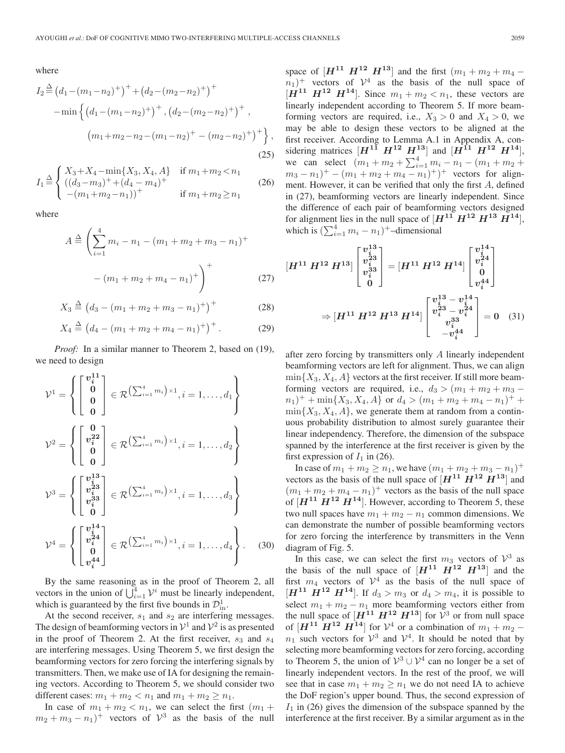where

$$
I_2 \stackrel{\Delta}{=} (d_1 - (m_1 - n_2)^+) + (d_2 - (m_2 - n_2)^+) + (-\min \left\{ (d_1 - (m_1 - n_2)^+) + (d_2 - (m_2 - n_2)^+) + (m_1 + m_2 - n_2 - (m_1 - n_2)^+ - (m_2 - n_2)^+ \right\},\tag{25}
$$

$$
I_1 \stackrel{\Delta}{=} \begin{cases} X_3 + X_4 - \min\{X_3, X_4, A\} & \text{if } m_1 + m_2 < n_1 \\ ((d_3 - m_3)^+ + (d_4 - m_4)^+ & \text{if } m_1 + m_2 \ge n_1 \\ -(m_1 + m_2 - n_1))^+ & \text{if } m_1 + m_2 \ge n_1 \end{cases} \tag{26}
$$

where

$$
A \stackrel{\Delta}{=} \left( \sum_{i=1}^{4} m_i - n_1 - (m_1 + m_2 + m_3 - n_1)^+ - (m_1 + m_2 + m_4 - n_1)^+ \right)^+
$$
 (27)

$$
X_3 \stackrel{\Delta}{=} (d_3 - (m_1 + m_2 + m_3 - n_1)^+)^+ \tag{28}
$$

$$
X_4 \stackrel{\Delta}{=} \left( d_4 - (m_1 + m_2 + m_4 - n_1)^+ \right)^+.
$$
 (29)

*Proof:* In a similar manner to Theorem 2, based on (19), we need to design

$$
\mathcal{V}^{1} = \left\{ \begin{bmatrix} v_{i}^{11} \\ 0 \\ 0 \\ 0 \end{bmatrix} \in \mathcal{R} \left( \sum_{i=1}^{4} m_{i} \right) \times 1, i = 1, ..., d_{1} \right\}
$$

$$
\mathcal{V}^{2} = \left\{ \begin{bmatrix} 0 \\ v_{i}^{22} \\ 0 \\ 0 \end{bmatrix} \in \mathcal{R} \left( \sum_{i=1}^{4} m_{i} \right) \times 1, i = 1, ..., d_{2} \right\}
$$

$$
\mathcal{V}^{3} = \left\{ \begin{bmatrix} v_{i}^{13} \\ v_{i}^{23} \\ v_{i}^{33} \\ 0 \end{bmatrix} \in \mathcal{R} \left( \sum_{i=1}^{4} m_{i} \right) \times 1, i = 1, ..., d_{3} \right\}
$$

$$
\mathcal{V}^{4} = \left\{ \begin{bmatrix} v_{i}^{14} \\ v_{i}^{24} \\ 0 \\ v_{i}^{44} \end{bmatrix} \in \mathcal{R} \left( \sum_{i=1}^{4} m_{i} \right) \times 1, i = 1, ..., d_{4} \right\}.
$$
 (30)

By the same reasoning as in the proof of Theorem 2, all vectors in the union of  $\bigcup_{i=1}^{4} \mathcal{V}^i$  must be linearly independent, which is guaranteed by the first five bounds in  $\mathcal{D}^1_{\text{in}}$ .

At the second receiver,  $s_1$  and  $s_2$  are interfering messages. The design of beamforming vectors in  $\mathcal{V}^1$  and  $\mathcal{V}^2$  is as presented in the proof of Theorem 2. At the first receiver,  $s_3$  and  $s_4$ are interfering messages. Using Theorem 5, we first design the beamforming vectors for zero forcing the interfering signals by transmitters. Then, we make use of IA for designing the remaining vectors. According to Theorem 5, we should consider two different cases:  $m_1 + m_2 < n_1$  and  $m_1 + m_2 \ge n_1$ .

In case of  $m_1 + m_2 < n_1$ , we can select the first  $(m_1 +$  $m_2 + m_3 - n_1$ <sup>+</sup> vectors of  $\mathcal{V}^3$  as the basis of the null

space of  $[H^{11} \ H^{12} \ H^{13}]$  and the first  $(m_1 + m_2 + m_4$  $n_1$ <sup>+</sup> vectors of  $\mathcal{V}^4$  as the basis of the null space of  $[H<sup>11</sup> H<sup>12</sup> H<sup>14</sup>]$ . Since  $m_1 + m_2 < n_1$ , these vectors are linearly independent according to Theorem 5. If more beamforming vectors are required, i.e.,  $X_3 > 0$  and  $X_4 > 0$ , we may be able to design these vectors to be aligned at the first receiver. According to Lemma A.1 in Appendix A, considering matrices  $[H^{11} \ H^{12} \ H^{13}]$  and  $[H^{11} \ H^{12} \ H^{14}]$ , we can select  $(m_1 + m_2 + \sum_{i=1}^4 m_i - n_1 - (m_1 + m_2 +$  $m_3 - n_1$ <sup>+</sup> –  $(m_1 + m_2 + m_4 - n_1)$ <sup>+</sup>)<sup>+</sup> vectors for alignment. However, it can be verified that only the first A, defined in (27), beamforming vectors are linearly independent. Since the difference of each pair of beamforming vectors designed for alignment lies in the null space of  $[H^{11} \ H^{12} \ H^{13} \ H^{14}]$ , which is  $(\sum_{i=1}^4 m_i - n_1)^+$ -dimensional

$$
[H^{11} H^{12} H^{13}] \begin{bmatrix} v_i^{13} \\ v_i^{23} \\ v_i^{33} \\ 0 \end{bmatrix} = [H^{11} H^{12} H^{14}] \begin{bmatrix} v_i^{14} \\ v_i^{24} \\ 0 \\ v_i^{44} \end{bmatrix}
$$
  
\n
$$
\Rightarrow [H^{11} H^{12} H^{13} H^{14}] \begin{bmatrix} v_i^{13} - v_i^{14} \\ v_i^{23} - v_i^{24} \\ v_i^{33} \\ -v_i^{44} \end{bmatrix} = 0 \quad (31)
$$

after zero forcing by transmitters only A linearly independent beamforming vectors are left for alignment. Thus, we can align  $\min\{X_3, X_4, A\}$  vectors at the first receiver. If still more beamforming vectors are required, i.e.,  $d_3 > (m_1 + m_2 + m_3 (n_1)^+$  + min{ $X_3, X_4, A$ } or  $d_4 > (m_1 + m_2 + m_4 - n_1)^+$  +  $\min\{X_3, X_4, A\}$ , we generate them at random from a continuous probability distribution to almost surely guarantee their linear independency. Therefore, the dimension of the subspace spanned by the interference at the first receiver is given by the first expression of  $I_1$  in (26).

In case of  $m_1 + m_2 \ge n_1$ , we have  $(m_1 + m_2 + m_3 - n_1)^+$ vectors as the basis of the null space of  $[H^{11} \ H^{12} \ H^{13}]$  and  $(m_1 + m_2 + m_4 - n_1)^+$  vectors as the basis of the null space of  $[H<sup>11</sup> H<sup>12</sup> H<sup>14</sup>]$ . However, according to Theorem 5, these two null spaces have  $m_1 + m_2 - n_1$  common dimensions. We can demonstrate the number of possible beamforming vectors for zero forcing the interference by transmitters in the Venn diagram of Fig. 5.

In this case, we can select the first  $m_3$  vectors of  $\mathcal{V}^3$  as the basis of the null space of  $[H^{11} \ H^{12} \ H^{13}]$  and the first  $m_4$  vectors of  $\mathcal{V}^4$  as the basis of the null space of  $[H<sup>11</sup> H<sup>12</sup> H<sup>14</sup>]$ . If  $d_3 > m_3$  or  $d_4 > m_4$ , it is possible to select  $m_1 + m_2 - n_1$  more beamforming vectors either from the null space of  $[H^{11} \ H^{12} \ H^{13}]$  for  $V^3$  or from null space of  $[H<sup>11</sup> H<sup>12</sup> H<sup>14</sup>]$  for  $V<sup>4</sup>$  or a combination of  $m_1 + m_2$  –  $n_1$  such vectors for  $\mathcal{V}^3$  and  $\mathcal{V}^4$ . It should be noted that by selecting more beamforming vectors for zero forcing, according to Theorem 5, the union of  $V^3 \cup V^4$  can no longer be a set of linearly independent vectors. In the rest of the proof, we will see that in case  $m_1 + m_2 \geq n_1$  we do not need IA to achieve the DoF region's upper bound. Thus, the second expression of  $I_1$  in (26) gives the dimension of the subspace spanned by the interference at the first receiver. By a similar argument as in the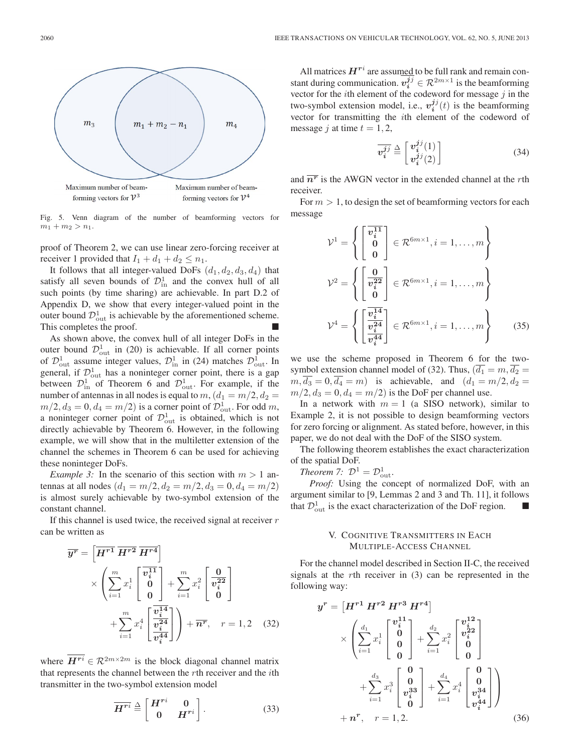

Fig. 5. Venn diagram of the number of beamforming vectors for  $m_1 + m_2 > n_1$ .

proof of Theorem 2, we can use linear zero-forcing receiver at receiver 1 provided that  $I_1 + d_1 + d_2 \leq n_1$ .

It follows that all integer-valued DoFs  $(d_1, d_2, d_3, d_4)$  that satisfy all seven bounds of  $\mathcal{D}^1_{\text{in}}$  and the convex hull of all such points (by time sharing) are achievable. In part D.2 of Appendix D, we show that every integer-valued point in the outer bound  $\mathcal{D}_{out}^1$  is achievable by the aforementioned scheme. This completes the proof.

As shown above, the convex hull of all integer DoFs in the outer bound  $\mathcal{D}_{out}^1$  in (20) is achievable. If all corner points of  $\mathcal{D}_{\text{out}}^1$  assume integer values,  $\mathcal{D}_{\text{in}}^1$  in (24) matches  $\mathcal{D}_{\text{out}}^1$ . In general, if  $\mathcal{D}_{\text{out}}^1$  has a noninteger corner point, there is a gap between  $\mathcal{D}_{\text{in}}^1$  of Theorem 6 and  $\mathcal{D}_{\text{out}}^1$ . For example, if the number of antennas in all nodes is equal to  $m,(d_1 = m/2, d_2 =$  $m/2, d_3 = 0, d_4 = m/2$ ) is a corner point of  $\mathcal{D}_{\text{out}}^1$ . For odd m, a noninteger corner point of  $\mathcal{D}^1_{\text{out}}$  is obtained, which is not directly achievable by Theorem 6. However, in the following example, we will show that in the multiletter extension of the channel the schemes in Theorem 6 can be used for achieving these noninteger DoFs.

*Example 3:* In the scenario of this section with  $m > 1$  antennas at all nodes  $(d_1 = m/2, d_2 = m/2, d_3 = 0, d_4 = m/2)$ is almost surely achievable by two-symbol extension of the constant channel.

If this channel is used twice, the received signal at receiver  $r$ can be written as

$$
\overline{y}^{\overline{r}} = \left[\overline{H^{r1}} \ \overline{H^{r2}} \ \overline{H^{r4}}\right] \times \left(\sum_{i=1}^{m} x_i^1 \begin{bmatrix} \overline{v_i^{11}} \\ 0 \\ 0 \end{bmatrix} + \sum_{i=1}^{m} x_i^2 \begin{bmatrix} 0 \\ \overline{v_i^{22}} \\ 0 \end{bmatrix} + \sum_{i=1}^{m} x_i^4 \begin{bmatrix} \overline{v_i^{14}} \\ \overline{v_i^{24}} \\ \overline{v_i^{44}} \end{bmatrix}\right) + \overline{n}^{\overline{r}}, \quad r = 1, 2 \quad (32)
$$

where  $\overline{H^{ri}} \in \mathcal{R}^{2m \times 2m}$  is the block diagonal channel matrix that represents the channel between the rth receiver and the ith transmitter in the two-symbol extension model

$$
\overline{H^{ri}} \stackrel{\Delta}{=} \begin{bmatrix} H^{ri} & 0 \\ 0 & H^{ri} \end{bmatrix} . \tag{33}
$$

All matrices  $H^{ri}$  are assumed to be full rank and remain constant during communication.  $v_i^{jj} \in \mathcal{R}^{2m \times 1}$  is the beamforming vector for the  $i$ th element of the codeword for message  $j$  in the two-symbol extension model, i.e.,  $v_i^{jj}(t)$  is the beamforming vector for transmitting the ith element of the codeword of message *j* at time  $t = 1, 2$ ,

$$
\overline{v_i^{jj}} \stackrel{\Delta}{=} \begin{bmatrix} v_i^{jj}(1) \\ v_i^{jj}(2) \end{bmatrix} \tag{34}
$$

and  $\overline{n^r}$  is the AWGN vector in the extended channel at the *r*th receiver.

For  $m > 1$ , to design the set of beamforming vectors for each message

$$
\mathcal{V}^{1} = \left\{ \begin{bmatrix} \overline{v_i^{11}} \\ 0 \\ 0 \end{bmatrix} \in \mathcal{R}^{6m \times 1}, i = 1, ..., m \right\}
$$

$$
\mathcal{V}^{2} = \left\{ \begin{bmatrix} \frac{0}{v_i^{22}} \\ 0 \end{bmatrix} \in \mathcal{R}^{6m \times 1}, i = 1, ..., m \right\}
$$

$$
\mathcal{V}^{4} = \left\{ \begin{bmatrix} \overline{v_i^{14}} \\ \overline{v_i^{24}} \\ \overline{v_i^{44}} \end{bmatrix} \in \mathcal{R}^{6m \times 1}, i = 1, ..., m \right\}
$$
(35)

we use the scheme proposed in Theorem 6 for the twosymbol extension channel model of (32). Thus,  $(\overline{d_1} = m, \overline{d_2} =$  $m, \overline{d_3} = 0, \overline{d_4} = m$  is achievable, and  $(d_1 = m/2, d_2 =$  $m/2$ ,  $d_3 = 0$ ,  $d_4 = m/2$ ) is the DoF per channel use.

In a network with  $m = 1$  (a SISO network), similar to Example 2, it is not possible to design beamforming vectors for zero forcing or alignment. As stated before, however, in this paper, we do not deal with the DoF of the SISO system.

The following theorem establishes the exact characterization of the spatial DoF.

*Theorem 7:*  $\mathcal{D}^1 = \mathcal{D}_{\text{out}}^1$ .

*Proof:* Using the concept of normalized DoF, with an argument similar to [9, Lemmas 2 and 3 and Th. 11], it follows that  $\mathcal{D}_{\text{out}}^1$  is the exact characterization of the DoF region.

# V. COGNITIVE TRANSMITTERS IN EACH MULTIPLE-ACCESS CHANNEL

For the channel model described in Section II-C, the received signals at the rth receiver in (3) can be represented in the following way:

$$
y^{r} = \begin{bmatrix} H^{r1} H^{r2} H^{r3} H^{r4} \end{bmatrix}
$$

$$
\times \begin{pmatrix} \frac{d_1}{2} x_i^1 \begin{bmatrix} v_i^{11} \\ 0 \\ 0 \end{bmatrix} + \sum_{i=1}^{d_2} x_i^2 \begin{bmatrix} v_i^{12} \\ v_i^{22} \\ 0 \end{bmatrix}
$$

$$
+ \sum_{i=1}^{d_3} x_i^3 \begin{bmatrix} 0 \\ 0 \\ v_i^{33} \\ 0 \end{bmatrix} + \sum_{i=1}^{d_4} x_i^4 \begin{bmatrix} 0 \\ 0 \\ v_i^{34} \\ 0 \end{bmatrix}
$$

$$
+ n^{r}, \quad r = 1, 2. \tag{36}
$$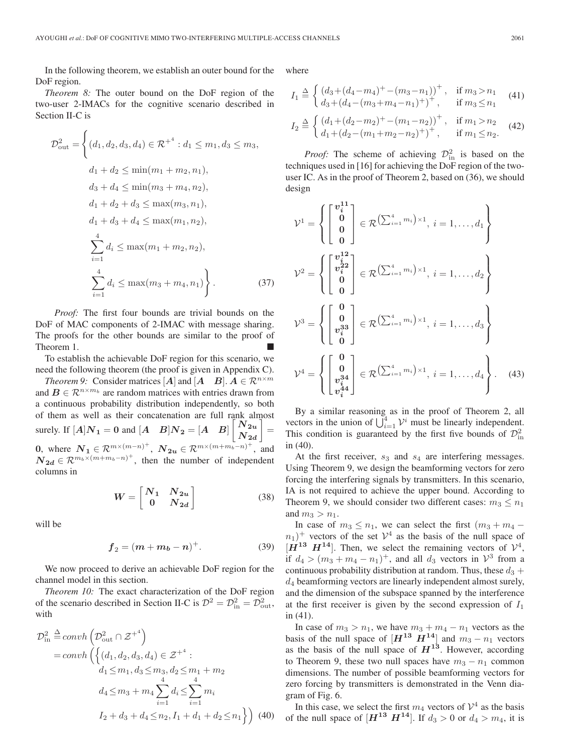In the following theorem, we establish an outer bound for the DoF region.

*Theorem 8:* The outer bound on the DoF region of the two-user 2-IMACs for the cognitive scenario described in Section II-C is

$$
\mathcal{D}_{\text{out}}^2 = \left\{ (d_1, d_2, d_3, d_4) \in \mathcal{R}^{+4} : d_1 \le m_1, d_3 \le m_3, \n d_1 + d_2 \le \min(m_1 + m_2, n_1), \n d_3 + d_4 \le \min(m_3 + m_4, n_2), \n d_1 + d_2 + d_3 \le \max(m_3, n_1), \n d_1 + d_3 + d_4 \le \max(m_1, n_2), \n \sum_{i=1}^4 d_i \le \max(m_1 + m_2, n_2), \n \sum_{i=1}^4 d_i \le \max(m_3 + m_4, n_1) \right\}.
$$
\n(37)

*Proof:* The first four bounds are trivial bounds on the DoF of MAC components of 2-IMAC with message sharing. The proofs for the other bounds are similar to the proof of Theorem 1.

To establish the achievable DoF region for this scenario, we need the following theorem (the proof is given in Appendix C).

*Theorem 9:* Consider matrices [*A*] and [*A*  $B$ ].  $A \in \mathbb{R}^{n \times m}$ and  $B \in \mathbb{R}^{n \times m_b}$  are random matrices with entries drawn from a continuous probability distribution independently, so both of them as well as their concatenation are full rank almost surely. If  $[A]N_1 = 0$  and  $[A \ B]N_2 = [A \ B] \begin{bmatrix} N_{2u} \\ N_u \end{bmatrix}$  $N_{\bm{2d}}$ 1 = **0**, where  $\mathbf{N}_1 \in \mathcal{R}^{m \times (m-n)^+}$ ,  $\mathbf{N}_{2u} \in \mathcal{R}^{m \times (m+m_b-n)^+}$ , and  $N_{2d} \in \mathcal{R}^{m_b \times (m+m_b-n)^+}$ , then the number of independent columns in

$$
W = \begin{bmatrix} N_1 & N_{2u} \\ 0 & N_{2d} \end{bmatrix} \tag{38}
$$

will be

$$
f_2 = (m + m_b - n)^+.
$$
 (39)

We now proceed to derive an achievable DoF region for the channel model in this section.

*Theorem 10:* The exact characterization of the DoF region of the scenario described in Section II-C is  $\mathcal{D}^2 = \mathcal{D}^2_{\text{in}} = \mathcal{D}^2_{\text{out}}$ , with

$$
\mathcal{D}_{\text{in}}^2 \stackrel{\Delta}{=} \operatorname{convh}\left(\mathcal{D}_{\text{out}}^2 \cap \mathcal{Z}^{+^4}\right)
$$
\n
$$
= \operatorname{convh}\left(\left\{(d_1, d_2, d_3, d_4) \in \mathcal{Z}^{+^4} : d_1 \le m_1, d_3 \le m_3, d_2 \le m_1 + m_2\right\}
$$
\n
$$
d_4 \le m_3 + m_4 \sum_{i=1}^4 d_i \le \sum_{i=1}^4 m_i
$$
\n
$$
I_2 + d_3 + d_4 \le n_2, I_1 + d_1 + d_2 \le n_1\right\} (40)
$$

where

$$
I_1 \stackrel{\Delta}{=} \begin{cases} \left(d_3 + (d_4 - m_4)^+ - (m_3 - n_1)\right)^+, & \text{if } m_3 > n_1\\ d_3 + (d_4 - (m_3 + m_4 - n_1)^+)^\top, & \text{if } m_3 \le n_1 \end{cases} \tag{41}
$$

$$
I_2 \stackrel{\Delta}{=} \begin{cases} \left(d_1 + (d_2 - m_2)^+ - (m_1 - n_2)\right)^+, & \text{if } m_1 > n_2\\ d_1 + (d_2 - (m_1 + m_2 - n_2)^+)^\perp, & \text{if } m_1 \le n_2. \end{cases} (42)
$$

*Proof:* The scheme of achieving  $\mathcal{D}_{\text{in}}^2$  is based on the techniques used in [16] for achieving the DoF region of the twouser IC. As in the proof of Theorem 2, based on (36), we should design

$$
\mathcal{V}^{1} = \left\{ \begin{bmatrix} v_{i}^{11} \\ 0 \\ 0 \\ 0 \end{bmatrix} \in \mathcal{R} \left( \sum_{i=1}^{4} m_{i} \right) \times 1, \ i = 1, ..., d_{1} \right\}
$$
\n
$$
\mathcal{V}^{2} = \left\{ \begin{bmatrix} v_{i}^{12} \\ v_{i}^{22} \\ 0 \\ 0 \end{bmatrix} \in \mathcal{R} \left( \sum_{i=1}^{4} m_{i} \right) \times 1, \ i = 1, ..., d_{2} \right\}
$$
\n
$$
\mathcal{V}^{3} = \left\{ \begin{bmatrix} 0 \\ 0 \\ v_{i}^{33} \\ 0 \end{bmatrix} \in \mathcal{R} \left( \sum_{i=1}^{4} m_{i} \right) \times 1, \ i = 1, ..., d_{3} \right\}
$$
\n
$$
\mathcal{V}^{4} = \left\{ \begin{bmatrix} 0 \\ 0 \\ v_{i}^{34} \\ v_{i}^{44} \end{bmatrix} \in \mathcal{R} \left( \sum_{i=1}^{4} m_{i} \right) \times 1, \ i = 1, ..., d_{4} \right\}. \tag{43}
$$

By a similar reasoning as in the proof of Theorem 2, all vectors in the union of  $\bigcup_{i=1}^{4} \mathcal{V}^i$  must be linearly independent. This condition is guaranteed by the first five bounds of  $\mathcal{D}^2$ in (40).

At the first receiver,  $s_3$  and  $s_4$  are interfering messages. Using Theorem 9, we design the beamforming vectors for zero forcing the interfering signals by transmitters. In this scenario, IA is not required to achieve the upper bound. According to Theorem 9, we should consider two different cases:  $m_3 \leq n_1$ and  $m_3 > n_1$ .

In case of  $m_3 \leq n_1$ , we can select the first  $(m_3 + m_4$  $n_1$ <sup>+</sup> vectors of the set  $\mathcal{V}^4$  as the basis of the null space of  $[H^{13} \ H^{14}]$ . Then, we select the remaining vectors of  $\mathcal{V}^4$ , if  $d_4 > (m_3 + m_4 - n_1)^+$ , and all  $d_3$  vectors in  $\mathcal{V}^3$  from a continuous probability distribution at random. Thus, these  $d_3 +$  $d_4$  beamforming vectors are linearly independent almost surely, and the dimension of the subspace spanned by the interference at the first receiver is given by the second expression of  $I_1$ in (41).

In case of  $m_3 > n_1$ , we have  $m_3 + m_4 - n_1$  vectors as the basis of the null space of  $[H^{13} \ H^{14}]$  and  $m_3 - n_1$  vectors as the basis of the null space of  $H^{13}$ . However, according to Theorem 9, these two null spaces have  $m_3 - n_1$  common dimensions. The number of possible beamforming vectors for zero forcing by transmitters is demonstrated in the Venn diagram of Fig. 6.

In this case, we select the first  $m_4$  vectors of  $\mathcal{V}^4$  as the basis of the null space of  $[H^{13} \ H^{14}]$ . If  $d_3 > 0$  or  $d_4 > m_4$ , it is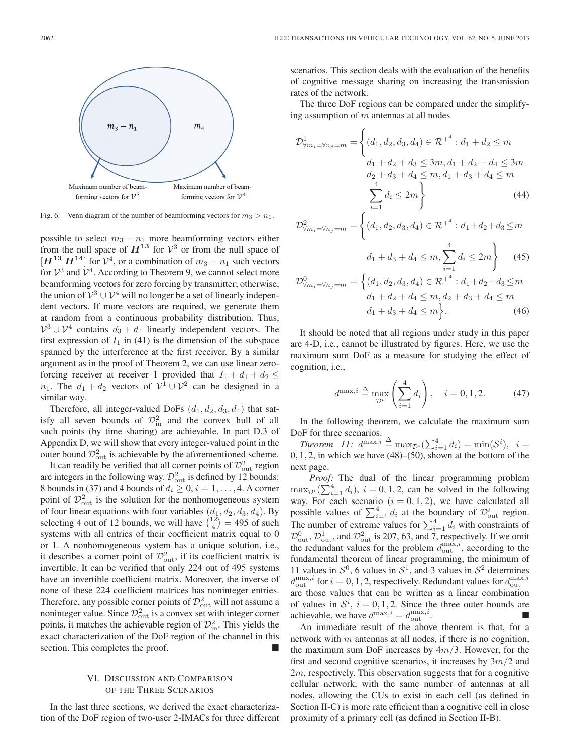

Fig. 6. Venn diagram of the number of beamforming vectors for  $m_3 > n_1$ .

possible to select  $m_3 - n_1$  more beamforming vectors either from the null space of  $H^{13}$  for  $\mathcal{V}^3$  or from the null space of  $[H^{13} H^{14}]$  for  $V^4$ , or a combination of  $m_3 - n_1$  such vectors for  $\mathcal{V}^3$  and  $\mathcal{V}^4$ . According to Theorem 9, we cannot select more beamforming vectors for zero forcing by transmitter; otherwise, the union of  $V^3 \cup V^4$  will no longer be a set of linearly independent vectors. If more vectors are required, we generate them at random from a continuous probability distribution. Thus,  $\mathcal{V}^3 \cup \mathcal{V}^4$  contains  $d_3 + d_4$  linearly independent vectors. The first expression of  $I_1$  in (41) is the dimension of the subspace spanned by the interference at the first receiver. By a similar argument as in the proof of Theorem 2, we can use linear zeroforcing receiver at receiver 1 provided that  $I_1 + d_1 + d_2 \leq$ n<sub>1</sub>. The  $d_1 + d_2$  vectors of  $\mathcal{V}^1 \cup \mathcal{V}^2$  can be designed in a similar way.

Therefore, all integer-valued DoFs  $(d_1, d_2, d_3, d_4)$  that satisfy all seven bounds of  $\mathcal{D}_{\text{in}}^2$  and the convex hull of all such points (by time sharing) are achievable. In part D.3 of Appendix D, we will show that every integer-valued point in the outer bound  $\mathcal{D}_{\text{out}}^2$  is achievable by the aforementioned scheme.

It can readily be verified that all corner points of  $\mathcal{D}^2_{\text{out}}$  region are integers in the following way.  $\mathcal{D}_{out}^2$  is defined by 12 bounds: 8 bounds in (37) and 4 bounds of  $d_i \geq 0$ ,  $i = 1, \ldots, 4$ . A corner point of  $\mathcal{D}_{\text{out}}^2$  is the solution for the nonhomogeneous system of four linear equations with four variables  $(d_1, d_2, d_3, d_4)$ . By selecting 4 out of 12 bounds, we will have  $\binom{12}{4} = 495$  of such systems with all entries of their coefficient matrix equal to 0 or 1. A nonhomogeneous system has a unique solution, i.e., it describes a corner point of  $\mathcal{D}_{\text{out}}^2$ , if its coefficient matrix is invertible. It can be verified that only 224 out of 495 systems have an invertible coefficient matrix. Moreover, the inverse of none of these 224 coefficient matrices has noninteger entries. Therefore, any possible corner points of  $\mathcal{D}^2_{\text{out}}$  will not assume a noninteger value. Since  $\mathcal{D}_{\text{out}}^2$  is a convex set with integer corner points, it matches the achievable region of  $\mathcal{D}^2_{\text{in}}$ . This yields the exact characterization of the DoF region of the channel in this section. This completes the proof.

# VI. DISCUSSION AND COMPARISON OF THE THREE SCENARIOS

In the last three sections, we derived the exact characterization of the DoF region of two-user 2-IMACs for three different scenarios. This section deals with the evaluation of the benefits of cognitive message sharing on increasing the transmission rates of the network.

The three DoF regions can be compared under the simplifying assumption of  $m$  antennas at all nodes

$$
\mathcal{D}_{\forall m_i = \forall n_j = m}^1 = \left\{ (d_1, d_2, d_3, d_4) \in \mathcal{R}^{+4} : d_1 + d_2 \le m \right. \\
d_1 + d_2 + d_3 \le 3m, d_1 + d_2 + d_4 \le 3m \\
d_2 + d_3 + d_4 \le m, d_1 + d_3 + d_4 \le m \\
\sum_{i=1}^4 d_i \le 2m \right\} \tag{44}
$$

$$
\mathcal{D}_{\forall m_i = \forall n_j = m}^2 = \begin{cases} (d_1, d_2, d_3, d_4) \in \mathcal{R}^{+4} : d_1 + d_2 + d_3 \le m \\ 0, \quad d_1 + d_2 + d_3 \le m \end{cases}
$$

$$
d_1 + d_3 + d_4 \le m, \sum_{i=1}^{4} d_i \le 2m \tbinom{45}{45}
$$

$$
\mathcal{D}_{\forall m_i = \forall n_j = m}^0 = \begin{cases} (d_1, d_2, d_3, d_4) \in \mathcal{R}^{+4} : d_1 + d_2 + d_3 \le m \\ d_1 + d_2 + d_4 \le m, d_2 + d_3 + d_4 \le m \end{cases}
$$
  

$$
d_1 + d_3 + d_4 \le m \begin{cases} . \tag{46}
$$

It should be noted that all regions under study in this paper are 4-D, i.e., cannot be illustrated by figures. Here, we use the maximum sum DoF as a measure for studying the effect of cognition, i.e.,

$$
d^{\max,i} \stackrel{\Delta}{=} \max_{\mathcal{D}^i} \left( \sum_{i=1}^4 d_i \right), \quad i = 0, 1, 2. \tag{47}
$$

In the following theorem, we calculate the maximum sum DoF for three scenarios.

*Theorem 11:*  $d^{\max,i} \triangleq \max_{\mathcal{D}^i} (\sum_{i=1}^4 d_i) = \min(\mathcal{S}^i), i =$  $0, 1, 2$ , in which we have  $(48)$ – $(50)$ , shown at the bottom of the next page.

*Proof:* The dual of the linear programming problem  $\max_{\mathcal{D}^i} (\sum_{i=1}^4 d_i), i = 0, 1, 2$ , can be solved in the following way. For each scenario  $(i = 0, 1, 2)$ , we have calculated all possible values of  $\sum_{i=1}^{4} d_i$  at the boundary of  $\mathcal{D}_{\text{out}}^i$  region. The number of extreme values for  $\sum_{i=1}^{4} d_i$  with constraints of  $\mathcal{D}_{\text{out}}^0$ ,  $\mathcal{D}_{\text{out}}^1$ , and  $\mathcal{D}_{\text{out}}^2$  is 207, 63, and 7, respectively. If we omit the redundant values for the problem  $d_{\text{out}}^{\max,i}$ , according to the fundamental theorem of linear programming, the minimum of 11 values in  $S^0$ , 6 values in  $S^1$ , and 3 values in  $S^2$  determines  $d_{\text{out}}^{\max,i}$  for  $i = 0, 1, 2$ , respectively. Redundant values for  $d_{\text{out}}^{\max,i}$ are those values that can be written as a linear combination of values in  $S^i$ ,  $i = 0, 1, 2$ . Since the three outer bounds are achievable, we have  $d^{\max,i} = d^{\max,i}_{\text{out}}$ .

An immediate result of the above theorem is that, for a network with  $m$  antennas at all nodes, if there is no cognition, the maximum sum DoF increases by  $4m/3$ . However, for the first and second cognitive scenarios, it increases by  $3m/2$  and 2m, respectively. This observation suggests that for a cognitive cellular network, with the same number of antennas at all nodes, allowing the CUs to exist in each cell (as defined in Section II-C) is more rate efficient than a cognitive cell in close proximity of a primary cell (as defined in Section II-B).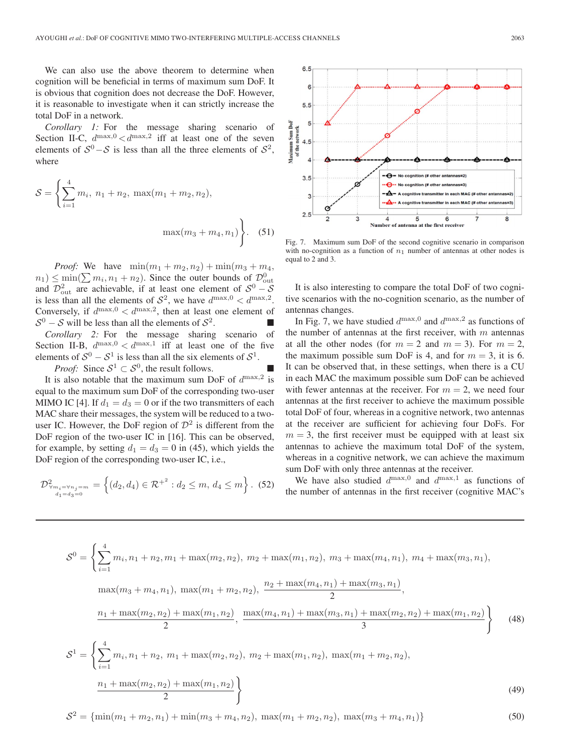We can also use the above theorem to determine when cognition will be beneficial in terms of maximum sum DoF. It is obvious that cognition does not decrease the DoF. However, it is reasonable to investigate when it can strictly increase the total DoF in a network.

*Corollary 1:* For the message sharing scenario of Section II-C,  $d^{\max,0} < d^{\max,2}$  iff at least one of the seven elements of  $S^0 - S$  is less than all the three elements of  $S^2$ , where

$$
S = \left\{ \sum_{i=1}^{4} m_i, n_1 + n_2, \max(m_1 + m_2, n_2), \max(m_3 + m_4, n_1) \right\}.
$$
 (51)

*Proof:* We have  $\min(m_1 + m_2, n_2) + \min(m_3 + m_4,$  $(n_1) \le \min(\sum m_i, n_1 + n_2)$ . Since the outer bounds of  $\mathcal{D}_{\text{out}}^0$ and  $\mathcal{D}_{\text{out}}^2$  are achievable, if at least one element of  $\mathcal{S}^0 - \mathcal{S}$ is less than all the elements of  $S^2$ , we have  $d^{\max,0} < d^{\max,2}$ . Conversely, if  $d^{\max,0} < d^{\max,2}$ , then at least one element of  $S^0 - S$  will be less than all the elements of  $S^2$ .

*Corollary 2:* For the message sharing scenario of Section II-B,  $d^{\max,0} < d^{\max,1}$  iff at least one of the five elements of  $S^0 - S^1$  is less than all the six elements of  $S^1$ .

*Proof:* Since  $S^1 \subset S^0$ , the result follows.

It is also notable that the maximum sum DoF of  $d^{\max,2}$  is equal to the maximum sum DoF of the corresponding two-user MIMO IC [4]. If  $d_1 = d_3 = 0$  or if the two transmitters of each MAC share their messages, the system will be reduced to a twouser IC. However, the DoF region of  $\mathcal{D}^2$  is different from the DoF region of the two-user IC in [16]. This can be observed, for example, by setting  $d_1 = d_3 = 0$  in (45), which yields the DoF region of the corresponding two-user IC, i.e.,

$$
\mathcal{D}^2_{\forall m_i = \forall n_j = m \atop d_1 = d_3 = 0} = \left\{ (d_2, d_4) \in \mathcal{R}^{+^2} : d_2 \le m, d_4 \le m \right\}. (52)
$$



Fig. 7. Maximum sum DoF of the second cognitive scenario in comparison with no-cognition as a function of  $n_1$  number of antennas at other nodes is equal to 2 and 3.

It is also interesting to compare the total DoF of two cognitive scenarios with the no-cognition scenario, as the number of antennas changes.

In Fig. 7, we have studied  $d^{\max,0}$  and  $d^{\max,2}$  as functions of the number of antennas at the first receiver, with  $m$  antennas at all the other nodes (for  $m = 2$  and  $m = 3$ ). For  $m = 2$ , the maximum possible sum DoF is 4, and for  $m = 3$ , it is 6. It can be observed that, in these settings, when there is a CU in each MAC the maximum possible sum DoF can be achieved with fewer antennas at the receiver. For  $m = 2$ , we need four antennas at the first receiver to achieve the maximum possible total DoF of four, whereas in a cognitive network, two antennas at the receiver are sufficient for achieving four DoFs. For  $m = 3$ , the first receiver must be equipped with at least six antennas to achieve the maximum total DoF of the system, whereas in a cognitive network, we can achieve the maximum sum DoF with only three antennas at the receiver.

We have also studied  $d^{\max,0}$  and  $d^{\max,1}$  as functions of the number of antennas in the first receiver (cognitive MAC's

$$
S^{0} = \left\{\sum_{i=1}^{4} m_{i}, n_{1} + n_{2}, m_{1} + \max(m_{2}, n_{2}), m_{2} + \max(m_{1}, n_{2}), m_{3} + \max(m_{4}, n_{1}), m_{4} + \max(m_{3}, n_{1}),\right.\max(m_{3} + m_{4}, n_{1}), \max(m_{1} + m_{2}, n_{2}), \frac{n_{2} + \max(m_{4}, n_{1}) + \max(m_{3}, n_{1})}{2},\frac{n_{1} + \max(m_{2}, n_{2}) + \max(m_{1}, n_{2})}{2}, \frac{\max(m_{4}, n_{1}) + \max(m_{3}, n_{1}) + \max(m_{2}, n_{2}) + \max(m_{1}, n_{2})}{3}\right\}
$$
(48)  

$$
S^{1} = \left\{\sum_{i=1}^{4} m_{i}, n_{1} + n_{2}, m_{1} + \max(m_{2}, n_{2}), m_{2} + \max(m_{1}, n_{2}), \max(m_{1} + m_{2}, n_{2}),\frac{n_{1} + \max(m_{2}, n_{2}) + \max(m_{1}, n_{2})}{2}\right\}
$$
(49)

$$
S^{2} = {\min(m_{1} + m_{2}, n_{1}) + \min(m_{3} + m_{4}, n_{2})}, \ \max(m_{1} + m_{2}, n_{2}), \ \max(m_{3} + m_{4}, n_{1})}
$$
(50)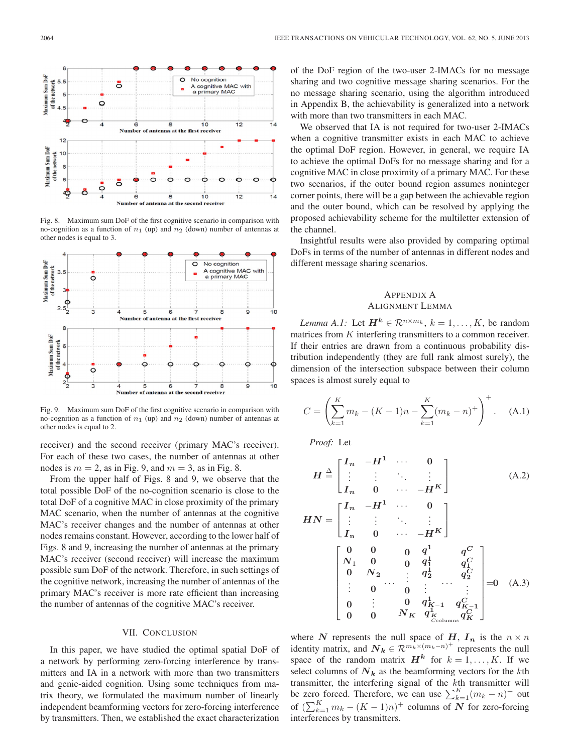

Fig. 8. Maximum sum DoF of the first cognitive scenario in comparison with no-cognition as a function of  $n_1$  (up) and  $n_2$  (down) number of antennas at other nodes is equal to 3.



Fig. 9. Maximum sum DoF of the first cognitive scenario in comparison with no-cognition as a function of  $n_1$  (up) and  $n_2$  (down) number of antennas at other nodes is equal to 2.

receiver) and the second receiver (primary MAC's receiver). For each of these two cases, the number of antennas at other nodes is  $m = 2$ , as in Fig. 9, and  $m = 3$ , as in Fig. 8.

From the upper half of Figs. 8 and 9, we observe that the total possible DoF of the no-cognition scenario is close to the total DoF of a cognitive MAC in close proximity of the primary MAC scenario, when the number of antennas at the cognitive MAC's receiver changes and the number of antennas at other nodes remains constant. However, according to the lower half of Figs. 8 and 9, increasing the number of antennas at the primary MAC's receiver (second receiver) will increase the maximum possible sum DoF of the network. Therefore, in such settings of the cognitive network, increasing the number of antennas of the primary MAC's receiver is more rate efficient than increasing the number of antennas of the cognitive MAC's receiver.

# VII. CONCLUSION

In this paper, we have studied the optimal spatial DoF of a network by performing zero-forcing interference by transmitters and IA in a network with more than two transmitters and genie-aided cognition. Using some techniques from matrix theory, we formulated the maximum number of linearly independent beamforming vectors for zero-forcing interference by transmitters. Then, we established the exact characterization of the DoF region of the two-user 2-IMACs for no message sharing and two cognitive message sharing scenarios. For the no message sharing scenario, using the algorithm introduced in Appendix B, the achievability is generalized into a network with more than two transmitters in each MAC.

We observed that IA is not required for two-user 2-IMACs when a cognitive transmitter exists in each MAC to achieve the optimal DoF region. However, in general, we require IA to achieve the optimal DoFs for no message sharing and for a cognitive MAC in close proximity of a primary MAC. For these two scenarios, if the outer bound region assumes noninteger corner points, there will be a gap between the achievable region and the outer bound, which can be resolved by applying the proposed achievability scheme for the multiletter extension of the channel.

Insightful results were also provided by comparing optimal DoFs in terms of the number of antennas in different nodes and different message sharing scenarios.

## APPENDIX A ALIGNMENT LEMMA

*Lemma A.1:* Let  $\mathbf{H}^k \in \mathbb{R}^{n \times m_k}$ ,  $k = 1, \ldots, K$ , be random matrices from K interfering transmitters to a common receiver. If their entries are drawn from a continuous probability distribution independently (they are full rank almost surely), the dimension of the intersection subspace between their column spaces is almost surely equal to

$$
C = \left(\sum_{k=1}^{K} m_k - (K-1)n - \sum_{k=1}^{K} (m_k - n)^+\right)^+.
$$
 (A.1)

*Proof:* Let

$$
H \stackrel{\triangle}{=} \begin{bmatrix} I_n & -H^1 & \cdots & 0 \\ \vdots & \vdots & \ddots & \vdots \\ I_n & 0 & \cdots & -H^K \end{bmatrix}
$$
 (A.2)  
\n
$$
HN = \begin{bmatrix} I_n & -H^1 & \cdots & 0 \\ \vdots & \vdots & \ddots & \vdots \\ I_n & 0 & \cdots & -H^K \end{bmatrix}
$$
  
\n
$$
\begin{bmatrix} 0 & 0 & 0 & q^1 & q^C \\ N_1 & 0 & 0 & q^1_1 & q^C_1 \\ 0 & N_2 & \vdots & q^1_2 & q^2_2 \\ \vdots & 0 & 0 & \vdots & \vdots \\ 0 & \vdots & 0 & q^1_{K-1} & q^C_{K-1} \\ 0 & 0 & N_K & q^1_{K-1} & q^C_{K-1} \\ 0 & 0 & N_K & q^1_{K-1} & q^C_{K-1} \end{bmatrix} = 0
$$
 (A.3)

where *N* represents the null space of *H*,  $I_n$  is the  $n \times n$ identity matrix, and  $N_k \in \mathcal{R}^{m_k \times (m_k - n)^+}$  represents the null space of the random matrix  $H^k$  for  $k = 1, \ldots, K$ . If we select columns of  $N_k$  as the beamforming vectors for the kth transmitter, the interfering signal of the kth transmitter will be zero forced. Therefore, we can use  $\sum_{k=1}^{K} (m_k - n)^+$  out of  $(\sum_{k=1}^{K} m_k - (K-1)n)^+$  columns of *N* for zero-forcing interferences by transmitters.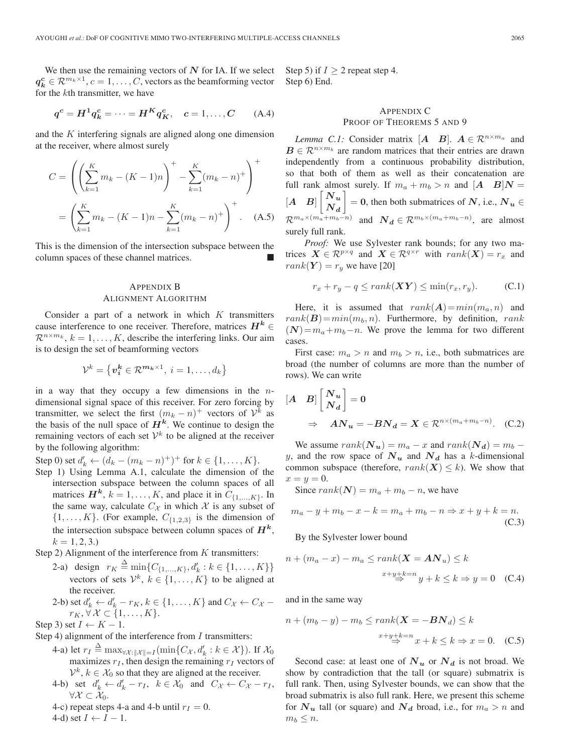We then use the remaining vectors of *N* for IA. If we select  $q_k^c \in \mathcal{R}^{m_k \times 1}, c = 1, \ldots, C$ , vectors as the beamforming vector for the kth transmitter, we have

$$
q^c = H^1 q_k^c = \dots = H^K q_K^c, \quad c = 1, \dots, C
$$
 (A.4)

and the K interfering signals are aligned along one dimension at the receiver, where almost surely

$$
C = \left( \left( \sum_{k=1}^{K} m_k - (K - 1)n \right)^+ - \sum_{k=1}^{K} (m_k - n)^+ \right)^+
$$

$$
= \left( \sum_{k=1}^{K} m_k - (K - 1)n - \sum_{k=1}^{K} (m_k - n)^+ \right)^+ . \quad (A.5)
$$

This is the dimension of the intersection subspace between the column spaces of these channel matrices.

# APPENDIX B ALIGNMENT ALGORITHM

Consider a part of a network in which  $K$  transmitters cause interference to one receiver. Therefore, matrices  $H^k \in$  $\mathcal{R}^{n \times m_k}$ ,  $k = 1, \ldots, K$ , describe the interfering links. Our aim is to design the set of beamforming vectors

$$
\mathcal{V}^k = \left\{ \boldsymbol{v_i^k} \in \mathcal{R}^{\boldsymbol{m_k} \times 1}, \ i = 1, \ldots, d_k \right\}
$$

in a way that they occupy a few dimensions in the  $n$ dimensional signal space of this receiver. For zero forcing by transmitter, we select the first  $(m_k - n)^+$  vectors of  $\mathcal{V}^k$  as the basis of the null space of  $H^k$ . We continue to design the remaining vectors of each set  $\mathcal{V}^k$  to be aligned at the receiver by the following algorithm:

Step 0) set  $d'_k \leftarrow (d_k - (m_k - n)^+)$ <sup>+</sup> for  $k \in \{1, ..., K\}$ .

Step 1) Using Lemma A.1, calculate the dimension of the intersection subspace between the column spaces of all matrices  $H^k$ ,  $k = 1, ..., K$ , and place it in  $C_{\{1,...,K\}}$ . In the same way, calculate  $C_{\mathcal{X}}$  in which  $\mathcal X$  is any subset of  $\{1,\ldots,K\}$ . (For example,  $C_{\{1,2,3\}}$  is the dimension of the intersection subspace between column spaces of  $H^k$ ,  $k = 1, 2, 3.$ 

Step 2) Alignment of the interference from  $K$  transmitters:

- 2-a) design  $r_K \stackrel{\Delta}{=} \min\{C_{\{1,\dots,K\}}, d'_k : k \in \{1,\dots,K\}\}\$ vectors of sets  $\mathcal{V}^k$ ,  $k \in \{1, \ldots, K\}$  to be aligned at the receiver.
- 2-b) set  $d'_k \leftarrow d'_k r_K$ ,  $k \in \{1, \ldots, K\}$  and  $C_{\mathcal{X}} \leftarrow C_{\mathcal{X}}$  $r_K, \forall \mathcal{X} \subset \{1, \ldots, K\}.$

Step 3) set  $I \leftarrow K - 1$ .

Step 4) alignment of the interference from  $I$  transmitters:

- 4-a) let  $r_I \stackrel{\Delta}{=} \max_{\forall \mathcal{X} : ||\mathcal{X}|| = I} (\min\{C_{\mathcal{X}}, d'_k : k \in \mathcal{X}\})$ . If  $\mathcal{X}_0$ maximizes  $r_I$ , then design the remaining  $r_I$  vectors of  $V^k$ ,  $k \in \mathcal{X}_0$  so that they are aligned at the receiver.
- 4-b) set  $d'_k \leftarrow d'_k r_I$ ,  $k \in \mathcal{X}_0$  and  $C_{\mathcal{X}} \leftarrow C_{\mathcal{X}} r_I$ ,  $\forall \mathcal{X} \subset \mathcal{X}_0.$
- 4-c) repeat steps 4-a and 4-b until  $r_I = 0$ .

4-d) set  $I \leftarrow I - 1$ .

Step 5) if  $I \geq 2$  repeat step 4. Step 6) End.

# APPENDIX C PROOF OF THEOREMS 5 AND 9

*Lemma C.1:* Consider matrix  $[A \ B]$ .  $A \in \mathbb{R}^{n \times m_a}$  and  $B \in \mathbb{R}^{n \times m_b}$  are random matrices that their entries are drawn independently from a continuous probability distribution, so that both of them as well as their concatenation are full rank almost surely. If  $m_a + m_b > n$  and  $[A \ B]N =$  $[A \ B]$  $\begin{bmatrix} N_u \\ N_u \end{bmatrix}$  $\overline{N}_d$  $\Big] = 0$ , then both submatrices of *N*, i.e.,  $N_u \in$  $\mathcal{R}^{m_a \times (m_a + m_b - n)}$  and  $\mathcal{N}_d \in \mathcal{R}^{m_b \times (m_a + m_b - n)}$ , are almost surely full rank.

*Proof:* We use Sylvester rank bounds; for any two matrices  $\mathbf{X} \in \mathcal{R}^{p \times q}$  and  $\mathbf{X} \in \mathcal{R}^{q \times r}$  with  $rank(\mathbf{X}) = r_x$  and  $rank(Y) = r_y$  we have [20]

$$
r_x + r_y - q \le rank(\mathbf{XY}) \le \min(r_x, r_y). \tag{C.1}
$$

Here, it is assumed that  $rank(A) = min(m_a, n)$  and  $rank(\mathbf{B})=min(m_b, n)$ . Furthermore, by definition, rank  $(N)=m_a+m_b-n$ . We prove the lemma for two different cases.

First case:  $m_a > n$  and  $m_b > n$ , i.e., both submatrices are broad (the number of columns are more than the number of rows). We can write

$$
\begin{aligned} \begin{bmatrix} A & B \end{bmatrix} \begin{bmatrix} N_u \\ N_d \end{bmatrix} &= 0 \\ \Rightarrow & A N_u = -B N_d = X \in \mathcal{R}^{n \times (m_a + m_b - n)}. \quad \text{(C.2)} \end{aligned}
$$

We assume  $rank(\mathbf{N_u}) = m_a - x$  and  $rank(\mathbf{N_d}) = m_b - x$ y, and the row space of  $N_u$  and  $N_d$  has a k-dimensional common subspace (therefore,  $rank(X) \leq k$ ). We show that  $x=y=0.$ 

Since  $rank(N) = m_a + m_b - n$ , we have

$$
m_a - y + m_b - x - k = m_a + m_b - n \Rightarrow x + y + k = n.
$$
\n(C.3)

By the Sylvester lower bound

$$
n + (m_a - x) - m_a \le rank(\mathbf{X} = \mathbf{A} \mathbf{N}_u) \le k
$$

$$
x + y + k = n \qquad y + k \le k \Rightarrow y = 0 \quad \text{(C.4)}
$$

and in the same way

$$
n + (m_b - y) - m_b \le rank(\mathbf{X} = -\mathbf{B}N_d) \le k
$$
  

$$
x + y + k = n \Rightarrow x + k \le k \Rightarrow x = 0.
$$
 (C.5)

Second case: at least one of  $N_u$  or  $N_d$  is not broad. We show by contradiction that the tall (or square) submatrix is full rank. Then, using Sylvester bounds, we can show that the broad submatrix is also full rank. Here, we present this scheme for  $N_u$  tall (or square) and  $N_d$  broad, i.e., for  $m_a > n$  and  $m_b \leq n$ .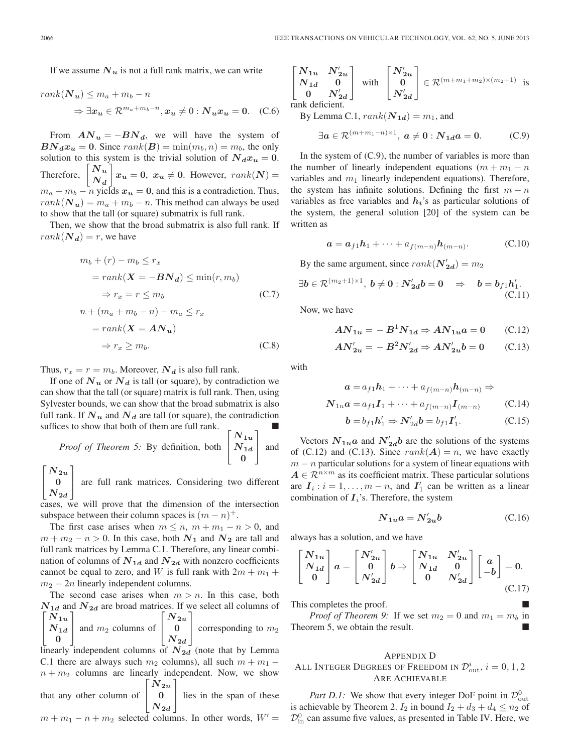If we assume  $N_u$  is not a full rank matrix, we can write

$$
rank(\mathbf{N}_{u}) \leq m_a + m_b - n
$$
  
\n
$$
\Rightarrow \exists x_u \in \mathcal{R}^{m_a + m_b - n}, x_u \neq 0 : \mathbf{N}_u x_u = 0.
$$
 (C.6)

From  $AN_u = -BN_d$ , we will have the system of  $BN_d x_u = 0$ . Since  $rank(B) = min(m_b, n) = m_b$ , the only solution to this system is the trivial solution of  $N_d x_u = 0$ . Therefore,  $\sqrt{\frac{N_u}{n}}$ *N<sup>d</sup>*  $x_u = 0$ ,  $x_u \neq 0$ . However,  $rank(N) =$  $m_a + m_b - n$  yields  $x_u = 0$ , and this is a contradiction. Thus,  $rank(\mathbf{N_u}) = m_a + m_b - n$ . This method can always be used to show that the tall (or square) submatrix is full rank.

Then, we show that the broad submatrix is also full rank. If  $rank(\mathbf{N}_d) = r$ , we have

$$
m_b + (r) - m_b \le r_x
$$
  
=  $rank(\mathbf{X} = -\mathbf{B}\mathbf{N}_d) \le \min(r, m_b)$   
 $\Rightarrow r_x = r \le m_b$  (C.7)  

$$
n + (m_a + m_b - n) - m_a \le r_x
$$
  
=  $rank(\mathbf{X} = \mathbf{A}\mathbf{N}_u)$   
 $\Rightarrow r_x \ge m_b.$  (C.8)

Thus,  $r_x = r = m_b$ . Moreover,  $N_d$  is also full rank.

If one of  $N_u$  or  $N_d$  is tall (or square), by contradiction we can show that the tall (or square) matrix is full rank. Then, using Sylvester bounds, we can show that the broad submatrix is also full rank. If  $N_u$  and  $N_d$  are tall (or square), the contradiction suffices to show that both of them are full rank.

*Proof of Theorem 5:* By definition, both  $N_{1d}$  $\lceil$  $N_{1u}$ **0** and

 $\lceil$  $\overline{\phantom{a}}$  $N_{\bm{2u}}$ **0**  $N_{\bm{2d}}$ ⎤ are full rank matrices. Considering two different

cases, we will prove that the dimension of the intersection subspace between their column spaces is  $(m - n)^{+}$ .

The first case arises when  $m \le n$ ,  $m + m_1 - n > 0$ , and  $m + m<sub>2</sub> - n > 0$ . In this case, both  $N<sub>1</sub>$  and  $N<sub>2</sub>$  are tall and full rank matrices by Lemma C.1. Therefore, any linear combination of columns of  $N_{1d}$  and  $N_{2d}$  with nonzero coefficients cannot be equal to zero, and W is full rank with  $2m + m_1 +$  $m_2 - 2n$  linearly independent columns.

The second case arises when  $m > n$ . In this case, both  $N_{1d}$  and  $N_{2d}$  are broad matrices. If we select all columns of  $\lceil$  $\overline{\phantom{a}}$  $N_{\bm{1u}}$  $N_{1d}$  and  $m_2$  columns of  $\begin{bmatrix} 1 & 0 \\ 0 & 1 \end{bmatrix}$ **0** ⎤  $\lceil N_{2u} \rceil$  $\begin{array}{c|c} \mathbf{0} & \text{corresponding to } m_2 \\ \hline \end{array}$  $|N_{2d}|$ 

linearly independent columns of  $N_{2d}$  (note that by Lemma C.1 there are always such  $m_2$  columns), all such  $m + m_1$  –  $n + m<sub>2</sub>$  columns are linearly independent. Now, we show  $\lceil$  $N_{2u}$ ⎤

that any other column of  $\overline{a}$ **0**  $N_{2d}$ lies in the span of these

$$
m + m_1 - n + m_2
$$
 selected columns. In other words,  $W' =$ 

$$
\begin{bmatrix} N_{1u} & N'_{2u} \\ N_{1d} & 0 \\ 0 & N'_{2d} \end{bmatrix}
$$
 with 
$$
\begin{bmatrix} N'_{2u} \\ 0 \\ N'_{2d} \end{bmatrix} \in \mathcal{R}^{(m+m_1+m_2)\times(m_2+1)}
$$
 is rank deficient.

By Lemma C.1,  $rank(\mathbf{N}_{1d}) = m_1$ , and

$$
\exists a \in \mathcal{R}^{(m+m_1-n)\times 1}, \ a \neq 0 : N_{1d}a = 0. \tag{C.9}
$$

In the system of  $(C.9)$ , the number of variables is more than the number of linearly independent equations  $(m + m_1 - n)$ variables and  $m_1$  linearly independent equations). Therefore, the system has infinite solutions. Defining the first  $m - n$ variables as free variables and *hi*'s as particular solutions of the system, the general solution [20] of the system can be written as

$$
\mathbf{a} = \mathbf{a}_{f1}\mathbf{h}_1 + \dots + a_{f(m-n)}\mathbf{h}_{(m-n)}.\tag{C.10}
$$

By the same argument, since  $rank(\mathbf{N}'_{2d}) = m_2$ 

 $\exists \boldsymbol{b} \in \mathcal{R}^{(m_2+1) \times 1}, \ \boldsymbol{b} \neq \boldsymbol{0} : \boldsymbol{N}_{\boldsymbol{2d}}' \boldsymbol{b} = \boldsymbol{0} \quad \Rightarrow \quad \boldsymbol{b} = \boldsymbol{b}_{f1} \boldsymbol{h}'_1.$ (C.11)

Now, we have

$$
AN_{1u} = -B^1 N_{1d} \Rightarrow AN_{1u}a = 0 \qquad (C.12)
$$

$$
AN'_{2u} = -B^2 N'_{2d} \Rightarrow AN'_{2u}b = 0 \qquad (C.13)
$$

with

$$
\mathbf{a} = a_{f1}\mathbf{h}_1 + \dots + a_{f(m-n)}\mathbf{h}_{(m-n)} \Rightarrow
$$
  

$$
\mathbf{N}_{1u}\mathbf{a} = a_{f1}\mathbf{I}_1 + \dots + a_{f(m-n)}\mathbf{I}_{(m-n)}
$$
 (C.14)

$$
\mathbf{b} = b_{f1}\mathbf{h}'_1 \Rightarrow \mathbf{N}'_{2d}\mathbf{b} = b_{f1}\mathbf{I}'_1. \tag{C.15}
$$

Vectors  $N_{1u}a$  and  $N'_{2d}b$  are the solutions of the systems of (C.12) and (C.13). Since  $rank(A) = n$ , we have exactly  $m - n$  particular solutions for a system of linear equations with  $A \in \mathbb{R}^{n \times m}$  as its coefficient matrix. These particular solutions are  $I_i$ :  $i = 1, ..., m - n$ , and  $I'_1$  can be written as a linear combination of  $I_i$ 's. Therefore, the system

$$
N_{1u}a = N'_{2u}b \tag{C.16}
$$

always has a solution, and we have

$$
\begin{bmatrix} N_{1u} \\ N_{1d} \\ 0 \end{bmatrix} a = \begin{bmatrix} N'_{2u} \\ 0 \\ N'_{2d} \end{bmatrix} b \Rightarrow \begin{bmatrix} N_{1u} & N'_{2u} \\ N_{1d} & 0 \\ 0 & N'_{2d} \end{bmatrix} \begin{bmatrix} a \\ -b \end{bmatrix} = 0.
$$
 (C.17)

This completes the proof. -

*Proof of Theorem 9:* If we set  $m_2 = 0$  and  $m_1 = m_b$  in Theorem 5, we obtain the result.

## APPENDIX D

# All Integer Degrees of Freedom in  $\mathcal{D}_{\text{out}}^i, i=0,1,2$ ARE ACHIEVABLE

*Part D.1:* We show that every integer DoF point in  $\mathcal{D}_{\text{out}}^0$ is achievable by Theorem 2.  $I_2$  in bound  $I_2 + d_3 + d_4 \le n_2$  of  $\mathcal{D}_{\text{in}}^0$  can assume five values, as presented in Table IV. Here, we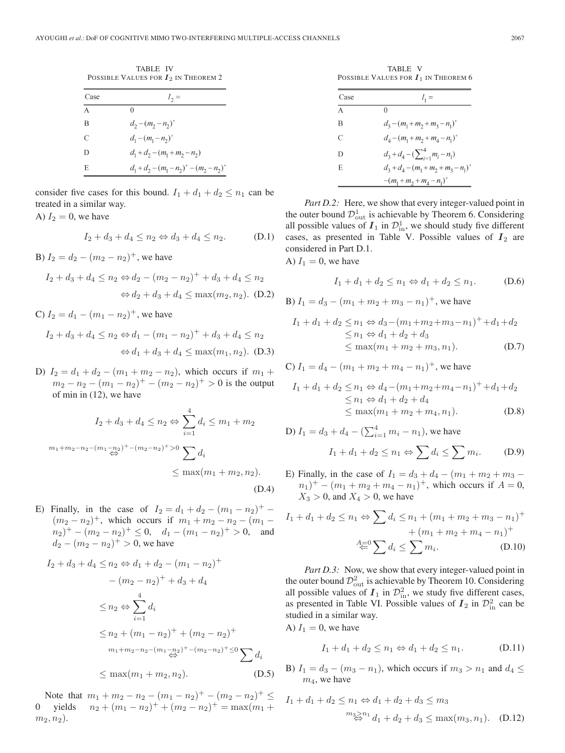TABLE IV POSSIBLE VALUES FOR *I*<sup>2</sup> IN THEOREM 2

| Case     | $I_2 =$                                     |
|----------|---------------------------------------------|
| $\Delta$ |                                             |
| В        | $d_2 - (m_2 - n_2)^+$                       |
| C        | $d_1 - (m_1 - n_2)^+$                       |
| D        | $d_1 + d_2 - (m_1 + m_2 - n_2)$             |
| E        | $d_1 + d_2 - (m_1 - n_2)^+ - (m_2 - n_2)^+$ |

consider five cases for this bound.  $I_1 + d_1 + d_2 \le n_1$  can be treated in a similar way.

$$
I_2 + d_3 + d_4 \le n_2 \Leftrightarrow d_3 + d_4 \le n_2. \tag{D.1}
$$

B)  $I_2 = d_2 - (m_2 - n_2)^+$ , we have

A)  $I_2 = 0$ , we have

$$
I_2 + d_3 + d_4 \le n_2 \Leftrightarrow d_2 - (m_2 - n_2)^+ + d_3 + d_4 \le n_2
$$
  

$$
\Leftrightarrow d_2 + d_3 + d_4 \le \max(m_2, n_2). \text{ (D.2)}
$$

C)  $I_2 = d_1 - (m_1 - n_2)^+$ , we have

$$
I_2 + d_3 + d_4 \le n_2 \Leftrightarrow d_1 - (m_1 - n_2)^+ + d_3 + d_4 \le n_2
$$
  

$$
\Leftrightarrow d_1 + d_3 + d_4 \le \max(m_1, n_2). \text{ (D.3)}
$$

D)  $I_2 = d_1 + d_2 - (m_1 + m_2 - n_2)$ , which occurs if  $m_1 +$  $m_2 - n_2 - (m_1 - n_2)^+ - (m_2 - n_2)^+ > 0$  is the output of min in (12), we have

$$
I_2 + d_3 + d_4 \le n_2 \Leftrightarrow \sum_{i=1}^4 d_i \le m_1 + m_2
$$
  

$$
m_1 + m_2 - n_2 - (m_1 - n_2)^+ - (m_2 - n_2)^+ > 0 \sum_{i=1}^4 d_i
$$
  

$$
\le \max(m_1 + m_2, n_2).
$$
  
(D.4)

E) Finally, in the case of  $I_2 = d_1 + d_2 - (m_1 - n_2)^+ (m_2 - n_2)^+$ , which occurs if  $m_1 + m_2 - n_2 - (m_1 (n_2)^+ - (m_2 - n_2)^+ \leq 0$ ,  $d_1 - (m_1 - n_2)^+ > 0$ , and  $d_2 - (m_2 - n_2)^+ > 0$ , we have

$$
I_2 + d_3 + d_4 \le n_2 \Leftrightarrow d_1 + d_2 - (m_1 - n_2)^+
$$
  
\n
$$
- (m_2 - n_2)^+ + d_3 + d_4
$$
  
\n
$$
\le n_2 \Leftrightarrow \sum_{i=1}^4 d_i
$$
  
\n
$$
\le n_2 + (m_1 - n_2)^+ + (m_2 - n_2)^+
$$
  
\n
$$
m_1 + m_2 - n_2 - (m_1 - n_2)^+ - (m_2 - n_2)^+ \le 0
$$
  
\n
$$
\le \max(m_1 + m_2, n_2).
$$
 (D.5)

Note that  $m_1 + m_2 - n_2 - (m_1 - n_2)^+ - (m_2 - n_2)^+ \leq$ 0 yields  $n_2 + (m_1 - n_2)^+ + (m_2 - n_2)^+ = \max(m_1 +$  $m_2, n_2$ ).

TABLE V POSSIBLE VALUES FOR  $I_1$  IN THEOREM 6

| Case | $I_1 =$                                 |
|------|-----------------------------------------|
| A    | 0                                       |
| В    | $d_3 - (m_1 + m_2 + m_3 - n_1)^+$       |
| C    | $d_4 - (m_1 + m_2 + m_4 - n_1)^+$       |
| D    | $d_3 + d_4 - (\sum_{i=1}^4 m_i - n_1)$  |
| E    | $d_3 + d_4 - (m_1 + m_2 + m_3 - n_1)^+$ |
|      | $-(m_1 + m_2 + m_4 - n_1)^+$            |

*Part D.2:* Here, we show that every integer-valued point in the outer bound  $\mathcal{D}_{out}^1$  is achievable by Theorem 6. Considering all possible values of  $I_1$  in  $\mathcal{D}^1_{\text{in}}$ , we should study five different cases, as presented in Table V. Possible values of  $I_2$  are considered in Part D.1.

A)  $I_1 = 0$ , we have

$$
I_1 + d_1 + d_2 \le n_1 \Leftrightarrow d_1 + d_2 \le n_1. \tag{D.6}
$$

B) 
$$
I_1 = d_3 - (m_1 + m_2 + m_3 - n_1)^+
$$
, we have

$$
I_1 + d_1 + d_2 \le n_1 \Leftrightarrow d_3 - (m_1 + m_2 + m_3 - n_1)^+ + d_1 + d_2
$$
  
\n
$$
\le n_1 \Leftrightarrow d_1 + d_2 + d_3
$$
  
\n
$$
\le \max(m_1 + m_2 + m_3, n_1).
$$
 (D.7)

C)  $I_1 = d_4 - (m_1 + m_2 + m_4 - n_1)^+$ , we have

$$
I_1 + d_1 + d_2 \le n_1 \Leftrightarrow d_4 - (m_1 + m_2 + m_4 - n_1)^+ + d_1 + d_2
$$
  
\n
$$
\le n_1 \Leftrightarrow d_1 + d_2 + d_4
$$
  
\n
$$
\le \max(m_1 + m_2 + m_4, n_1).
$$
 (D.8)

D) 
$$
I_1 = d_3 + d_4 - (\sum_{i=1}^4 m_i - n_1)
$$
, we have  
 $I_1 + d_1 + d_2 \le n_1 \Leftrightarrow \sum d_i \le \sum m_i$ . (D.9)

E) Finally, in the case of  $I_1 = d_3 + d_4 - (m_1 + m_2 + m_3 (n_1)^+ - (m_1 + m_2 + m_4 - n_1)^+$ , which occurs if  $A = 0$ ,  $X_3 > 0$ , and  $X_4 > 0$ , we have

$$
I_1 + d_1 + d_2 \le n_1 \Leftrightarrow \sum d_i \le n_1 + (m_1 + m_2 + m_3 - n_1)^+ + (m_1 + m_2 + m_4 - n_1)^+
$$
  

$$
\stackrel{A=0}{\Leftarrow} \sum d_i \le \sum m_i.
$$
 (D.10)

*Part D.3:* Now, we show that every integer-valued point in the outer bound  $\mathcal{D}_{\text{out}}^2$  is achievable by Theorem 10. Considering all possible values of  $I_1$  in  $\mathcal{D}_{\text{in}}^2$ , we study five different cases, as presented in Table VI. Possible values of  $I_2$  in  $\mathcal{D}^2_{\text{in}}$  can be studied in a similar way.

A)  $I_1 = 0$ , we have

$$
I_1 + d_1 + d_2 \le n_1 \Leftrightarrow d_1 + d_2 \le n_1. \tag{D.11}
$$

B)  $I_1 = d_3 - (m_3 - n_1)$ , which occurs if  $m_3 > n_1$  and  $d_4 \leq$  $m_4$ , we have

$$
I_1 + d_1 + d_2 \le n_1 \Leftrightarrow d_1 + d_2 + d_3 \le m_3
$$
  

$$
\sum_{m_3 \ge n_1}^{m_3 \ge n_1} d_1 + d_2 + d_3 \le \max(m_3, n_1). \quad (D.12)
$$